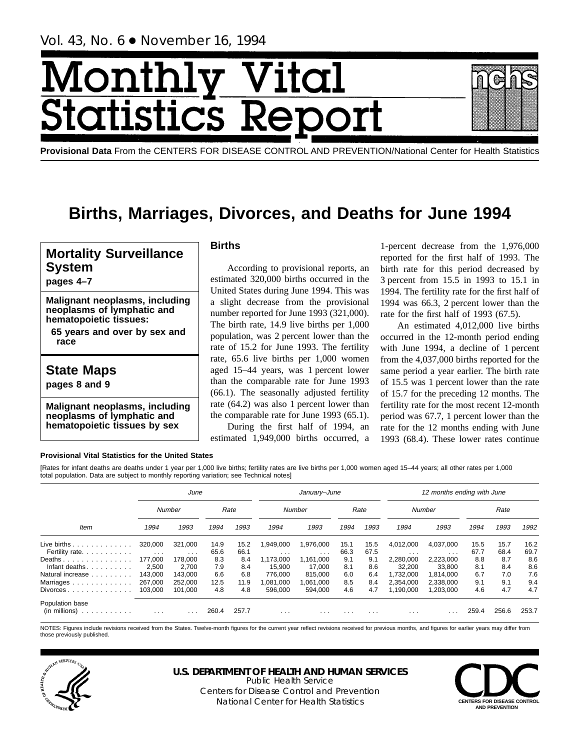# Month Vital tatis: ics F



# **Births, Marriages, Divorces, and Deaths for June 1994**

# **Mortality Surveillance System**

**pages 4–7**

**Malignant neoplasms, including neoplasms of lymphatic and hematopoietic tissues:**

**65 years and over by sex and race**

# **State Maps**

**pages 8 and 9**

**Malignant neoplasms, including neoplasms of lymphatic and hematopoietic tissues by sex**

# **Births**

According to provisional reports, an estimated 320,000 births occurred in the United States during June 1994. This was a slight decrease from the provisional number reported for June 1993 (321,000). The birth rate, 14.9 live births per 1,000 population, was 2 percent lower than the rate of 15.2 for June 1993. The fertility rate, 65.6 live births per 1,000 women aged 15–44 years, was 1 percent lower than the comparable rate for June 1993 (66.1). The seasonally adjusted fertility rate (64.2) was also 1 percent lower than the comparable rate for June 1993 (65.1).

During the first half of 1994, an estimated 1,949,000 births occurred, a

1-percent decrease from the 1,976,000 reported for the first half of 1993. The birth rate for this period decreased by 3 percent from 15.5 in 1993 to 15.1 in 1994. The fertility rate for the first half of 1994 was 66.3, 2 percent lower than the rate for the first half of 1993 (67.5).

An estimated 4,012,000 live births occurred in the 12-month period ending with June 1994, a decline of 1 percent from the 4,037,000 births reported for the same period a year earlier. The birth rate of 15.5 was 1 percent lower than the rate of 15.7 for the preceding 12 months. The fertility rate for the most recent 12-month period was 67.7, 1 percent lower than the rate for the 12 months ending with June 1993 (68.4). These lower rates continue

#### **Provisional Vital Statistics for the United States**

[Rates for infant deaths are deaths under 1 year per 1,000 live births; fertility rates are live births per 1,000 women aged 15–44 years; all other rates per 1,000 total population. Data are subject to monthly reporting variation; see Technical notes]

|                                           |                      | June                    |       |       |                         | January-June |          |          |           | 12 months ending with June |       |       |       |
|-------------------------------------------|----------------------|-------------------------|-------|-------|-------------------------|--------------|----------|----------|-----------|----------------------------|-------|-------|-------|
|                                           |                      | Number                  |       | Rate  |                         | Number       |          | Rate     |           | Number                     |       | Rate  |       |
| Item                                      | 1994                 | 1993                    | 1994  | 1993  | 1994                    | 1993         | 1994     | 1993     | 1994      | 1993                       | 1994  | 1993  | 1992  |
| Live births $\ldots \ldots \ldots \ldots$ | 320.000              | 321.000                 | 14.9  | 15.2  | 1,949,000               | 1,976,000    | 15.1     | 15.5     | 4.012.000 | 4,037,000                  | 15.5  | 15.7  | 16.2  |
| Fertility rate.                           | $\sim$ $\sim$ $\sim$ | $\cdots$                | 65.6  | 66.1  | $\cdots$                | $\cdots$     | 66.3     | 67.5     | $\cdots$  | $\cdots$                   | 67.7  | 68.4  | 69.7  |
| Deaths                                    | 177.000              | 178,000                 | 8.3   | 8.4   | 1,173,000               | 1,161,000    | 9.1      | 9.1      | 2,280,000 | 2,223,000                  | 8.8   | 8.7   | 8.6   |
| Infant deaths.                            | 2.500                | 2.700                   | 7.9   | 8.4   | 15.900                  | 17.000       | 8.1      | 8.6      | 32,200    | 33.800                     | 8.1   | 8.4   | 8.6   |
| Natural increase                          | 143.000              | 143.000                 | 6.6   | 6.8   | 776.000                 | 815.000      | 6.0      | 6.4      | 1.732.000 | 1.814.000                  | 6.7   | 7.0   | 7.6   |
| Marriages                                 | 267,000              | 252.000                 | 12.5  | 11.9  | .081.000                | 1,061,000    | 8.5      | 8.4      | 2.354.000 | 2,338,000                  | 9.1   | 9.1   | 9.4   |
| $Divorces \dots \dots \dots \dots \dots$  | 103,000              | 101.000                 | 4.8   | 4.8   | 596.000                 | 594.000      | 4.6      | 4.7      | 1,190,000 | 1.203.000                  | 4.6   | 4.7   | 4.7   |
| Population base                           |                      |                         |       |       |                         |              |          |          |           |                            |       |       |       |
| (in millions)<br>design and a state and a | $\cdots$             | $\cdot$ $\cdot$ $\cdot$ | 260.4 | 257.7 | $\cdot$ $\cdot$ $\cdot$ | $\cdots$     | $\cdots$ | $\cdots$ | $\cdots$  |                            | 259.4 | 256.6 | 253.7 |

NOTES: Figures include revisions received from the States. Twelve-month figures for the current year reflect revisions received for previous months, and figures for earlier years may differ from those previously published.



#### **U.S. DEPARTMENT OF HEALTH AND HUMAN SERVICES** Public Health Service

Centers for Disease Control and Prevention National Center for Health Statistics **CENTERS FOR DISEASE CONTROL** 

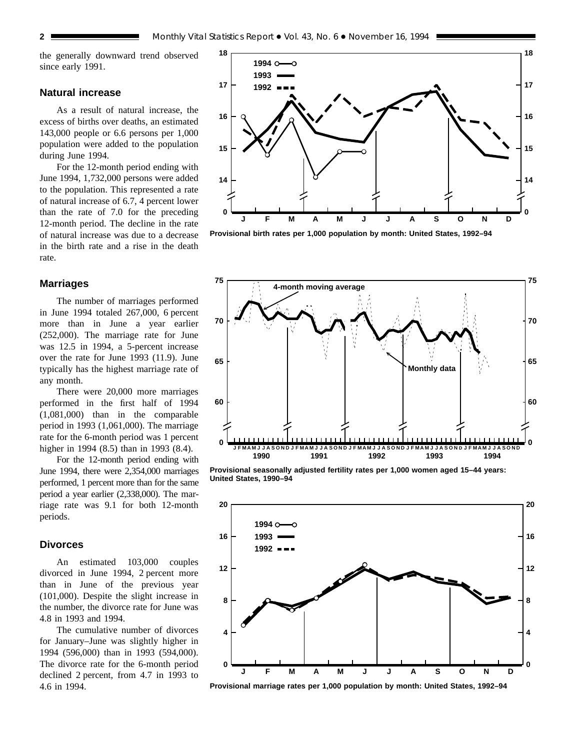the generally downward trend observed since early 1991.

# **Natural increase**

As a result of natural increase, the excess of births over deaths, an estimated 143,000 people or 6.6 persons per 1,000 population were added to the population during June 1994.

For the 12-month period ending with June 1994, 1,732,000 persons were added to the population. This represented a rate of natural increase of 6.7, 4 percent lower than the rate of 7.0 for the preceding 12-month period. The decline in the rate of natural increase was due to a decrease in the birth rate and a rise in the death rate.

#### **Marriages**

The number of marriages performed in June 1994 totaled 267,000, 6 percent more than in June a year earlier (252,000). The marriage rate for June was 12.5 in 1994, a 5-percent increase over the rate for June 1993 (11.9). June typically has the highest marriage rate of any month.

There were 20,000 more marriages performed in the first half of 1994 (1,081,000) than in the comparable period in 1993 (1,061,000). The marriage rate for the 6-month period was 1 percent higher in 1994 (8.5) than in 1993 (8.4).

For the 12-month period ending with June 1994, there were 2,354,000 marriages performed, 1 percent more than for the same period a year earlier (2,338,000). The marriage rate was 9.1 for both 12-month periods.

# **Divorces**

An estimated 103,000 couples divorced in June 1994, 2 percent more than in June of the previous year (101,000). Despite the slight increase in the number, the divorce rate for June was 4.8 in 1993 and 1994.

The cumulative number of divorces for January–June was slightly higher in 1994 (596,000) than in 1993 (594,000). The divorce rate for the 6-month period declined 2 percent, from 4.7 in 1993 to 4.6 in 1994.



**Provisional birth rates per 1,000 population by month: United States, 1992–94**



**Provisional seasonally adjusted fertility rates per 1,000 women aged 15–44 years: United States, 1990–94**



**Provisional marriage rates per 1,000 population by month: United States, 1992–94**

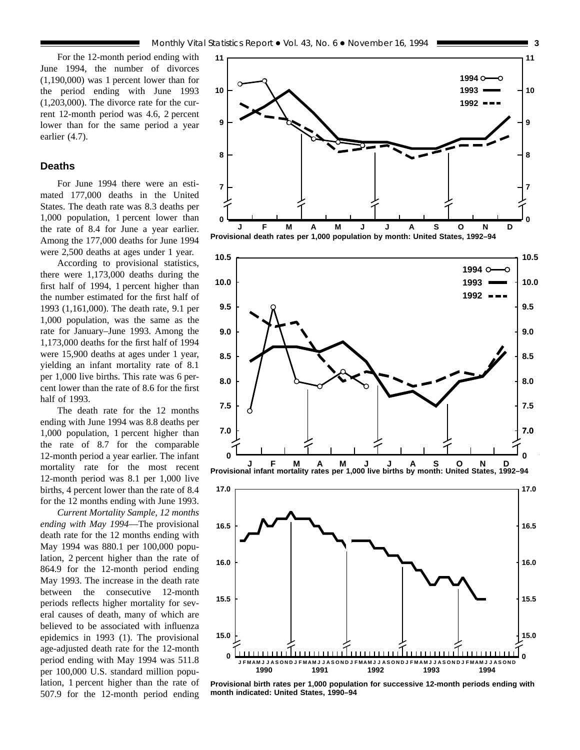**15.0**

**0**

**15.5**

**16.0**

For the 12-month period ending with June 1994, the number of divorces (1,190,000) was 1 percent lower than for the period ending with June 1993 (1,203,000). The divorce rate for the current 12-month period was 4.6, 2 percent lower than for the same period a year earlier (4.7).

# **Deaths**

For June 1994 there were an estimated 177,000 deaths in the United States. The death rate was 8.3 deaths per 1,000 population, 1 percent lower than the rate of 8.4 for June a year earlier. Among the 177,000 deaths for June 1994 were 2,500 deaths at ages under 1 year.

According to provisional statistics, there were 1,173,000 deaths during the first half of 1994, 1 percent higher than the number estimated for the first half of 1993 (1,161,000). The death rate, 9.1 per 1,000 population, was the same as the rate for January–June 1993. Among the 1,173,000 deaths for the first half of 1994 were 15,900 deaths at ages under 1 year, yielding an infant mortality rate of 8.1 per 1,000 live births. This rate was 6 percent lower than the rate of 8.6 for the first half of 1993.

The death rate for the 12 months ending with June 1994 was 8.8 deaths per 1,000 population, 1 percent higher than the rate of 8.7 for the comparable 12-month period a year earlier. The infant mortality rate for the most recent 12-month period was 8.1 per 1,000 live births, 4 percent lower than the rate of 8.4 for the 12 months ending with June 1993.

*Current Mortality Sample, 12 months ending with May 1994*—The provisional death rate for the 12 months ending with May 1994 was 880.1 per 100,000 population, 2 percent higher than the rate of 864.9 for the 12-month period ending May 1993. The increase in the death rate between the consecutive 12-month periods reflects higher mortality for several causes of death, many of which are believed to be associated with influenza epidemics in 1993 (1). The provisional age-adjusted death rate for the 12-month period ending with May 1994 was 511.8 per 100,000 U.S. standard million population, 1 percent higher than the rate of 507.9 for the 12-month period ending

**15.0**

**0**

**15.5**

**16.0**







**J FMAMJ J ASOND J FMAMJ J ASOND J FMAMJ J ASOND J FMAMJ J ASOND J FMAMJ J ASOND**

**1990 1991 1992 1993 1994**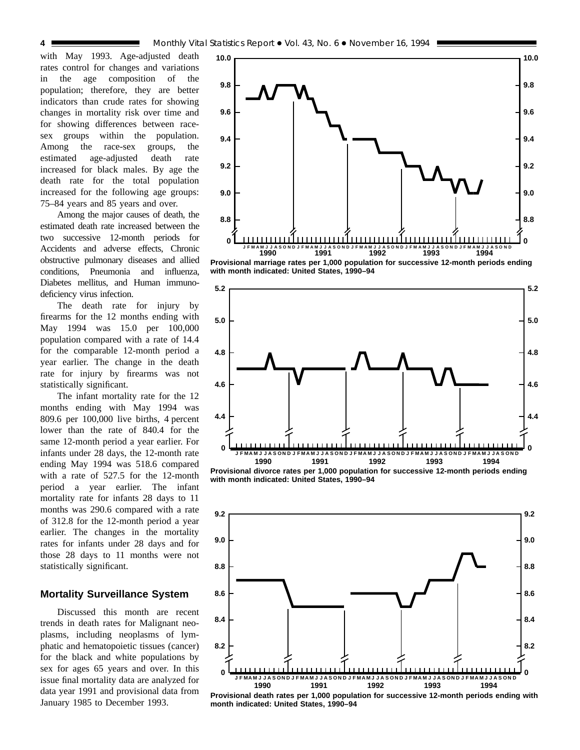with May 1993. Age-adjusted death rates control for changes and variations in the age composition of the population; therefore, they are better indicators than crude rates for showing changes in mortality risk over time and for showing differences between racesex groups within the population. Among the race-sex groups, the estimated age-adjusted death rate increased for black males. By age the death rate for the total population increased for the following age groups: 75–84 years and 85 years and over.

Among the major causes of death, the estimated death rate increased between the two successive 12-month periods for Accidents and adverse effects, Chronic obstructive pulmonary diseases and allied conditions, Pneumonia and influenza, Diabetes mellitus, and Human immunodeficiency virus infection.

The death rate for injury by firearms for the 12 months ending with May 1994 was 15.0 per 100,000 population compared with a rate of 14.4 for the comparable 12-month period a year earlier. The change in the death rate for injury by firearms was not statistically significant.

The infant mortality rate for the 12 months ending with May 1994 was 809.6 per 100,000 live births, 4 percent lower than the rate of 840.4 for the same 12-month period a year earlier. For infants under 28 days, the 12-month rate ending May 1994 was 518.6 compared with a rate of 527.5 for the 12-month period a year earlier. The infant mortality rate for infants 28 days to 11 months was 290.6 compared with a rate of 312.8 for the 12-month period a year earlier. The changes in the mortality rates for infants under 28 days and for those 28 days to 11 months were not statistically significant.

# **Mortality Surveillance System**

Discussed this month are recent trends in death rates for Malignant neoplasms, including neoplasms of lymphatic and hematopoietic tissues (cancer) for the black and white populations by sex for ages 65 years and over. In this issue final mortality data are analyzed for data year 1991 and provisional data from January 1985 to December 1993.



**Provisional marriage rates per 1,000 population for successive 12-month periods ending with month indicated: United States, 1990–94**



**Provisional divorce rates per 1,000 population for successive 12-month periods ending with month indicated: United States, 1990–94**



**Provisional death rates per 1,000 population for successive 12-month periods ending with month indicated: United States, 1990–94**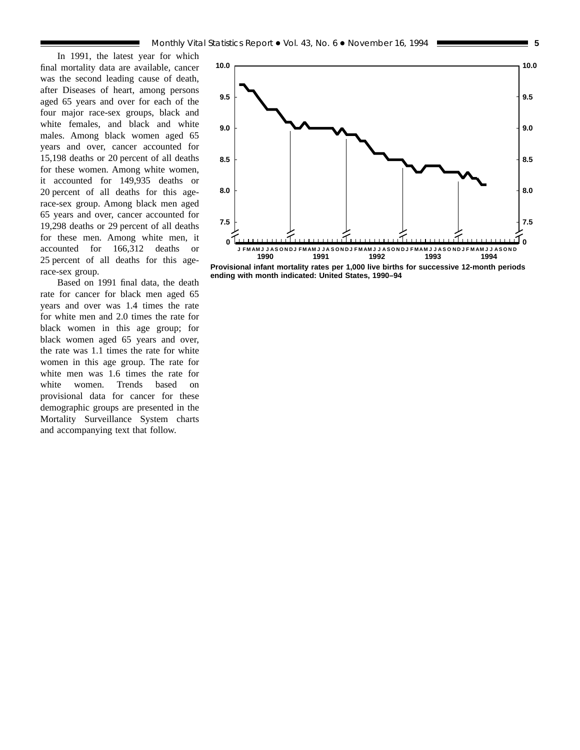In 1991, the latest year for which final mortality data are available, cancer was the second leading cause of death, after Diseases of heart, among persons aged 65 years and over for each of the four major race-sex groups, black and white females, and black and white males. Among black women aged 65 years and over, cancer accounted for 15,198 deaths or 20 percent of all deaths for these women. Among white women, it accounted for 149,935 deaths or 20 percent of all deaths for this agerace-sex group. Among black men aged 65 years and over, cancer accounted for 19,298 deaths or 29 percent of all deaths for these men. Among white men, it accounted for 166,312 deaths or 25 percent of all deaths for this agerace-sex group.

Based on 1991 final data, the death rate for cancer for black men aged 65 years and over was 1.4 times the rate for white men and 2.0 times the rate for black women in this age group; for black women aged 65 years and over, the rate was 1.1 times the rate for white women in this age group. The rate for white men was 1.6 times the rate for white women. Trends based on provisional data for cancer for these demographic groups are presented in the Mortality Surveillance System charts and accompanying text that follow.



**Provisional infant mortality rates per 1,000 live births for successive 12-month periods ending with month indicated: United States, 1990–94**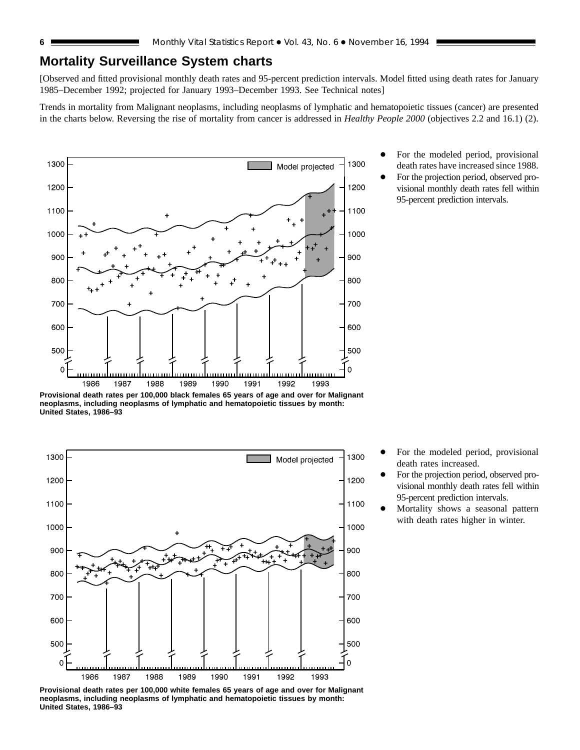# **Mortality Surveillance System charts**

[Observed and fitted provisional monthly death rates and 95-percent prediction intervals. Model fitted using death rates for January 1985–December 1992; projected for January 1993–December 1993. See Technical notes]

Trends in mortality from Malignant neoplasms, including neoplasms of lymphatic and hematopoietic tissues (cancer) are presented in the charts below. Reversing the rise of mortality from cancer is addressed in *Healthy People 2000* (objectives 2.2 and 16.1) (2).



**Provisional death rates per 100,000 black females 65 years of age and over for Malignant neoplasms, including neoplasms of lymphatic and hematopoietic tissues by month: United States, 1986–93**



**Provisional death rates per 100,000 white females 65 years of age and over for Malignant neoplasms, including neoplasms of lymphatic and hematopoietic tissues by month: United States, 1986–93**

- For the modeled period, provisional death rates have increased since 1988.
- For the projection period, observed provisional monthly death rates fell within 95-percent prediction intervals.

- For the modeled period, provisional death rates increased.
- For the projection period, observed provisional monthly death rates fell within 95-percent prediction intervals.
- Mortality shows a seasonal pattern with death rates higher in winter.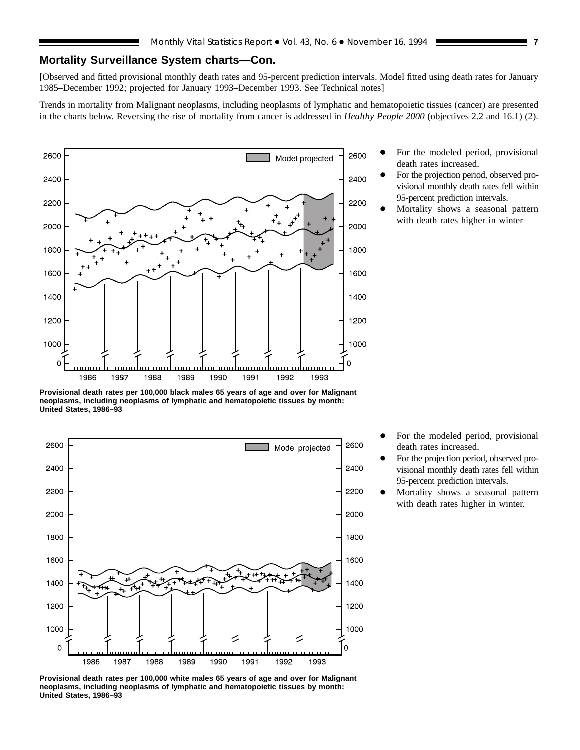# **Mortality Surveillance System charts—Con.**

[Observed and fitted provisional monthly death rates and 95-percent prediction intervals. Model fitted using death rates for January 1985–December 1992; projected for January 1993–December 1993. See Technical notes]

Trends in mortality from Malignant neoplasms, including neoplasms of lymphatic and hematopoietic tissues (cancer) are presented in the charts below. Reversing the rise of mortality from cancer is addressed in *Healthy People 2000* (objectives 2.2 and 16.1) (2).



**Provisional death rates per 100,000 black males 65 years of age and over for Malignant neoplasms, including neoplasms of lymphatic and hematopoietic tissues by month: United States, 1986–93**



For the modeled period, provisional death rates increased.

- For the projection period, observed provisional monthly death rates fell within 95-percent prediction intervals.
- Mortality shows a seasonal pattern with death rates higher in winter

- For the modeled period, provisional death rates increased.
- For the projection period, observed provisional monthly death rates fell within 95-percent prediction intervals.
- Mortality shows a seasonal pattern with death rates higher in winter.

**Provisional death rates per 100,000 white males 65 years of age and over for Malignant neoplasms, including neoplasms of lymphatic and hematopoietic tissues by month: United States, 1986–93**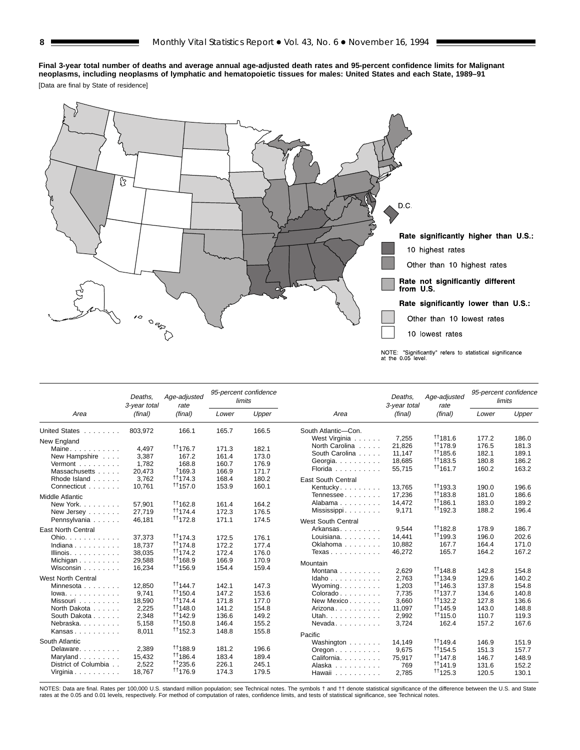# **Final 3-year total number of deaths and average annual age-adjusted death rates and 95-percent confidence limits for Malignant neoplasms, including neoplasms of lymphatic and hematopoietic tissues for males: United States and each State, 1989–91**

[Data are final by State of residence]



|                                         | Deaths.<br>3-year total | Age-adjusted<br>rate      |                | 95-percent confidence<br>limits |                                        | Deaths.<br>3-year total | Age-adjusted<br>rate      |       | 95-percent confidence<br>limits |
|-----------------------------------------|-------------------------|---------------------------|----------------|---------------------------------|----------------------------------------|-------------------------|---------------------------|-------|---------------------------------|
| Area                                    | (final)                 | (final)                   | Lower          | Upper                           | Area                                   | (final)                 | (final)                   | Lower | Upper                           |
| <b>United States</b><br>1.1.1.1.1.1.1.1 | 803,972                 | 166.1                     | 165.7          | 166.5                           | South Atlantic-Con.                    |                         |                           |       |                                 |
| New England                             |                         |                           |                |                                 | West Virginia                          | 7,255                   | <sup>11</sup> 181.6       | 177.2 | 186.0                           |
| Maine                                   | 4.497                   | $^{\dagger\dagger}$ 176.7 | 171.3          | 182.1                           | North Carolina                         | 21.826                  | $^{\dagger\dagger}$ 178.9 | 176.5 | 181.3                           |
| New Hampshire                           | 3,387                   | 167.2                     | 161.4          | 173.0                           | South Carolina                         | 11.147                  | <sup>11</sup> 185.6       | 182.1 | 189.1                           |
| Vermont $\ldots$ , $\ldots$             | 1,782                   | 168.8                     | 160.7          | 176.9                           | Georgia.                               | 18,685                  | <sup>††</sup> 183.5       | 180.8 | 186.2                           |
| Massachusetts                           | 20.473                  | †169.3                    | 166.9          | 171.7                           | Florida                                | 55,715                  | $+1161.7$                 | 160.2 | 163.2                           |
| Rhode Island                            | 3.762                   | $\uparrow$ 174.3          | 168.4          | 180.2                           | <b>East South Central</b>              |                         |                           |       |                                 |
| Connecticut                             | 10,761                  | $\uparrow$ 1157.0         | 153.9          | 160.1                           | Kentucky                               | 13,765                  | $+1193.3$                 | 190.0 | 196.6                           |
| <b>Middle Atlantic</b>                  |                         |                           |                |                                 | Tennessee                              | 17,236                  | <sup>11</sup> 183.8       | 181.0 | 186.6                           |
| New York.                               | 57.901                  | 11162.8                   | 161.4          | 164.2                           | Alabama                                | 14,472                  | $+1186.1$                 | 183.0 | 189.2                           |
| New Jersey                              | 27,719                  | $\uparrow$ 174.4          | 172.3          | 176.5                           | Mississippi                            | 9,171                   | <sup>††</sup> 192.3       | 188.2 | 196.4                           |
| Pennsylvania                            | 46,181                  | <sup>††</sup> 172.8       | 171.1          | 174.5                           | <b>West South Central</b>              |                         |                           |       |                                 |
|                                         |                         |                           |                |                                 | Arkansas                               | 9.544                   | $^{\dagger\dagger}$ 182.8 | 178.9 | 186.7                           |
| <b>East North Central</b>               |                         | $\uparrow$ 174.3          |                |                                 | Louisiana.                             | 14,441                  | <sup>††</sup> 199.3       | 196.0 | 202.6                           |
| Ohio.                                   | 37.373                  | 11174.8                   | 172.5          | 176.1                           | Oklahoma                               | 10,882                  | 167.7                     | 164.4 | 171.0                           |
| Indiana                                 | 18.737                  | $\uparrow$ 174.2          | 172.2<br>172.4 | 177.4<br>176.0                  | Texas                                  | 46,272                  | 165.7                     | 164.2 | 167.2                           |
| Illinois. $\ldots$ .                    | 38,035                  | <sup>++</sup> 168.9       |                |                                 |                                        |                         |                           |       |                                 |
| Michigan                                | 29,588                  |                           | 166.9          | 170.9                           | Mountain                               |                         |                           |       |                                 |
| Wisconsin                               | 16,234                  | <sup>††</sup> 156.9       | 154.4          | 159.4                           | Montana $\ldots$ , $\ldots$            | 2.629                   | $+1148.8$                 | 142.8 | 154.8                           |
| <b>West North Central</b>               |                         |                           |                |                                 | Idaho                                  | 2.763                   | <sup>††</sup> 134.9       | 129.6 | 140.2                           |
| Minnesota                               | 12,850                  | $+1144.7$                 | 142.1          | 147.3                           | Wyoming                                | 1,203                   | $+1146.3$                 | 137.8 | 154.8                           |
| $lowa.$                                 | 9.741                   | $+1150.4$                 | 147.2          | 153.6                           | Colorado                               | 7.735                   | $\uparrow$ 137.7          | 134.6 | 140.8                           |
| Missouri                                | 18,590                  | $\uparrow$ 174.4          | 171.8          | 177.0                           | New Mexico                             | 3,660                   | <sup>††</sup> 132.2       | 127.8 | 136.6                           |
| North Dakota                            | 2,225                   | $+1148.0$                 | 141.2          | 154.8                           | Arizona                                | 11,097                  | <sup>††</sup> 145.9       | 143.0 | 148.8                           |
| South Dakota                            | 2,348                   | $\uparrow$ 142.9          | 136.6          | 149.2                           | Utah.                                  | 2,992                   | <sup>++</sup> 115.0       | 110.7 | 119.3                           |
| Nebraska.                               | 5,158                   | $+1150.8$                 | 146.4          | 155.2                           | Nevada                                 | 3,724                   | 162.4                     | 157.2 | 167.6                           |
| Kansas                                  | 8.011                   | $\uparrow$ 152.3          | 148.8          | 155.8                           | Pacific                                |                         |                           |       |                                 |
| South Atlantic                          |                         |                           |                |                                 | Washington                             | 14.149                  | $\uparrow$ 149.4          | 146.9 | 151.9                           |
| Delaware.                               | 2.389                   | 11188.9                   | 181.2          | 196.6                           | $O$ regon $\ldots$ $\ldots$ $\ldots$ . | 9,675                   | $^{\dagger\dagger}$ 154.5 | 151.3 | 157.7                           |
| Maryland                                | 15,432                  | $+1186.4$                 | 183.4          | 189.4                           | California.                            | 75.917                  | $^{\dagger\dagger}$ 147.8 | 146.7 | 148.9                           |
| District of Columbia                    | 2,522                   | <sup>++</sup> 235.6       | 226.1          | 245.1                           | Alaska                                 | 769                     | $^{\dagger\dagger}$ 141.9 | 131.6 | 152.2                           |
| Virginia                                | 18.767                  | <sup>11</sup> 176.9       | 174.3          | 179.5                           | Hawaii                                 | 2,785                   | $^{\dagger\dagger}$ 125.3 | 120.5 | 130.1                           |

NOTES: Data are final. Rates per 100,000 U.S. standard million population; see Technical notes. The symbols † and †† denote statistical significance of the difference between the U.S. and State<br>rates at the 0.05 and 0.01 l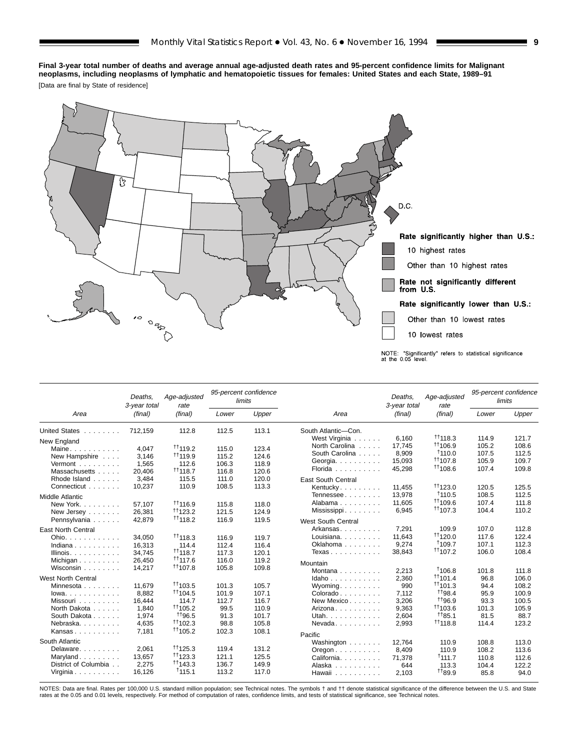**Final 3-year total number of deaths and average annual age-adjusted death rates and 95-percent confidence limits for Malignant neoplasms, including neoplasms of lymphatic and hematopoietic tissues for females: United States and each State, 1989–91**

[Data are final by State of residence]



|                                | Deaths.<br>3-year total | Age-adjusted<br>rate      |       | 95-percent confidence<br>limits |                                        | Deaths.<br>3-year total | Age-adjusted<br>rate         |       | 95-percent confidence<br>limits |
|--------------------------------|-------------------------|---------------------------|-------|---------------------------------|----------------------------------------|-------------------------|------------------------------|-------|---------------------------------|
| Area                           | (final)                 | (final)                   | Lower | Upper                           | Area                                   | (final)                 | (final)                      | Lower | Upper                           |
| United States                  | 712,159                 | 112.8                     | 112.5 | 113.1                           | South Atlantic-Con.                    |                         |                              |       |                                 |
| New England                    |                         |                           |       |                                 | West Virginia                          | 6,160                   | $+1118.3$                    | 114.9 | 121.7                           |
| Maine                          | 4,047                   | $^{++}$ 119.2             | 115.0 | 123.4                           | North Carolina                         | 17.745                  | <sup>tt</sup> 106.9          | 105.2 | 108.6                           |
| New Hampshire                  | 3.146                   | 1119.9                    | 115.2 | 124.6                           | South Carolina                         | 8,909                   | 1110.0                       | 107.5 | 112.5                           |
| Vermont                        | 1.565                   | 112.6                     | 106.3 | 118.9                           | Georgia.                               | 15,093                  | <sup>11</sup> 107.8          | 105.9 | 109.7                           |
| Massachusetts                  | 20,406                  | $^{\dagger\dagger}$ 118.7 | 116.8 | 120.6                           | Florida                                | 45,298                  | $+1108.6$                    | 107.4 | 109.8                           |
| Rhode Island                   | 3.484                   | 115.5                     | 111.0 | 120.0                           | <b>East South Central</b>              |                         |                              |       |                                 |
| Connecticut                    | 10,237                  | 110.9                     | 108.5 | 113.3                           | Kentucky                               | 11,455                  | $+1123.0$                    | 120.5 | 125.5                           |
| <b>Middle Atlantic</b>         |                         |                           |       |                                 | Tennessee                              | 13,978                  | 1110.5                       | 108.5 | 112.5                           |
| New York.                      | 57.107                  | $+116.9$                  | 115.8 | 118.0                           | Alabama                                | 11,605                  | <sup>11</sup> 109.6          | 107.4 | 111.8                           |
| New Jersey                     | 26,381                  | $\uparrow$ 123.2          | 121.5 | 124.9                           | Mississippi                            | 6,945                   | $+1107.3$                    | 104.4 | 110.2                           |
| Pennsylvania                   | 42,879                  | $+1118.2$                 | 116.9 | 119.5                           |                                        |                         |                              |       |                                 |
|                                |                         |                           |       |                                 | <b>West South Central</b>              |                         |                              |       |                                 |
| <b>East North Central</b>      |                         |                           |       |                                 | Arkansas                               | 7,291                   | 109.9                        | 107.0 | 112.8                           |
| Ohio.                          | 34.050                  | $\uparrow$ 118.3          | 116.9 | 119.7                           | Louisiana.                             | 11.643                  | $+1120.0$                    | 117.6 | 122.4                           |
| Indiana                        | 16.313                  | 114.4                     | 112.4 | 116.4                           | Oklahoma                               | 9,274                   | †109.7<br>$\frac{+1}{107.2}$ | 107.1 | 112.3                           |
| Illinois. $\ldots$ .           | 34.745                  | $^{\dagger\dagger}$ 118.7 | 117.3 | 120.1                           | Texas                                  | 38,843                  |                              | 106.0 | 108.4                           |
| Michigan $\ldots$ , $\ldots$   | 26.450                  | <sup>††</sup> 117.6       | 116.0 | 119.2                           | Mountain                               |                         |                              |       |                                 |
| Wisconsin                      | 14.217                  | $+1107.8$                 | 105.8 | 109.8                           | Montana $\ldots$ $\ldots$              | 2,213                   | <sup>1</sup> 106.8           | 101.8 | 111.8                           |
| <b>West North Central</b>      |                         |                           |       |                                 | Idaho                                  | 2,360                   | $+1101.4$                    | 96.8  | 106.0                           |
| Minnesota                      | 11.679                  | $+1103.5$                 | 101.3 | 105.7                           | Wyoming                                | 990                     | $+1101.3$                    | 94.4  | 108.2                           |
| $lowa. \ldots. \ldots. \ldots$ | 8.882                   | $+1104.5$                 | 101.9 | 107.1                           | Colorado.                              | 7.112                   | <sup>+1</sup> 98.4           | 95.9  | 100.9                           |
| Missouri                       | 16.444                  | 114.7                     | 112.7 | 116.7                           | New Mexico                             | 3,206                   | <sup>+1</sup> 96.9           | 93.3  | 100.5                           |
| North Dakota                   | 1,840                   | <sup>11</sup> 105.2       | 99.5  | 110.9                           | Arizona                                | 9,363                   | $+1103.6$                    | 101.3 | 105.9                           |
| South Dakota                   | 1.974                   | <sup>+</sup> 196.5        | 91.3  | 101.7                           | Utah.                                  | 2,604                   | $+185.1$                     | 81.5  | 88.7                            |
| Nebraska.                      | 4,635                   | $\frac{+1102.3}{ }$       | 98.8  | 105.8                           | $N$ evada. $\ldots$                    | 2,993                   | $+1118.8$                    | 114.4 | 123.2                           |
| Kansas                         | 7.181                   | $\uparrow$ 105.2          | 102.3 | 108.1                           | Pacific                                |                         |                              |       |                                 |
| South Atlantic                 |                         |                           |       |                                 | Washington                             | 12,764                  | 110.9                        | 108.8 | 113.0                           |
| Delaware.                      | 2.061                   | $\uparrow$ 125.3          | 119.4 | 131.2                           | $O$ regon $\ldots$ $\ldots$ $\ldots$ . | 8,409                   | 110.9                        | 108.2 | 113.6                           |
| Maryland                       | 13.657                  | $\uparrow$ 123.3          | 121.1 | 125.5                           | California.                            | 71.378                  | †111.7                       | 110.8 | 112.6                           |
| District of Columbia           | 2.275                   | $^{\dagger\dagger}$ 143.3 | 136.7 | 149.9                           | Alaska                                 | 644                     | 113.3                        | 104.4 | 122.2                           |
| Virginia                       | 16,126                  | †115.1                    | 113.2 | 117.0                           | Hawaii                                 | 2,103                   | <sup>+1</sup> 89.9           | 85.8  | 94.0                            |

NOTES: Data are final. Rates per 100,000 U.S. standard million population; see Technical notes. The symbols † and †† denote statistical significance of the difference between the U.S. and State<br>rates at the 0.05 and 0.01 l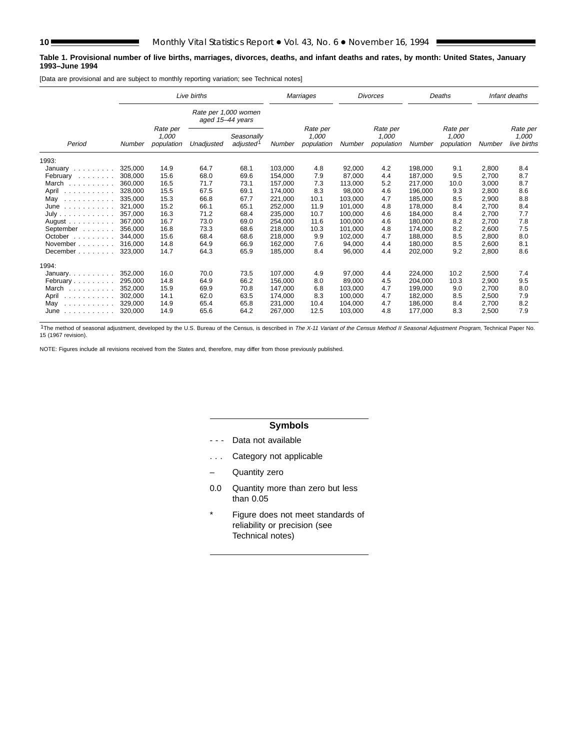#### **Table 1. Provisional number of live births, marriages, divorces, deaths, and infant deaths and rates, by month: United States, January 1993–June 1994**

[Data are provisional and are subject to monthly reporting variation; see Technical notes]

|                                                                                                       |         |                                 | Live births                              |                                     |         | Marriages                       |         | <b>Divorces</b>                 |         | Deaths                          |        | Infant deaths                    |
|-------------------------------------------------------------------------------------------------------|---------|---------------------------------|------------------------------------------|-------------------------------------|---------|---------------------------------|---------|---------------------------------|---------|---------------------------------|--------|----------------------------------|
|                                                                                                       |         |                                 | Rate per 1,000 women<br>aged 15-44 years |                                     |         |                                 |         |                                 |         |                                 |        |                                  |
| Period                                                                                                | Number  | Rate per<br>1,000<br>population | Unadjusted                               | Seasonally<br>adjusted <sup>1</sup> | Number  | Rate per<br>1,000<br>population | Number  | Rate per<br>1,000<br>population | Number  | Rate per<br>1,000<br>population | Number | Rate per<br>1,000<br>live births |
| 1993:                                                                                                 |         |                                 |                                          |                                     |         |                                 |         |                                 |         |                                 |        |                                  |
| January                                                                                               | 325.000 | 14.9                            | 64.7                                     | 68.1                                | 103.000 | 4.8                             | 92.000  | 4.2                             | 198.000 | 9.1                             | 2,800  | 8.4                              |
| February                                                                                              | 308,000 | 15.6                            | 68.0                                     | 69.6                                | 154,000 | 7.9                             | 87,000  | 4.4                             | 187,000 | 9.5                             | 2,700  | 8.7                              |
| March                                                                                                 | 360,000 | 16.5                            | 71.7                                     | 73.1                                | 157.000 | 7.3                             | 113.000 | 5.2                             | 217.000 | 10.0                            | 3,000  | 8.7                              |
| April<br>.                                                                                            | 328,000 | 15.5                            | 67.5                                     | 69.1                                | 174,000 | 8.3                             | 98,000  | 4.6                             | 196,000 | 9.3                             | 2,800  | 8.6                              |
| May<br>.                                                                                              | 335.000 | 15.3                            | 66.8                                     | 67.7                                | 221.000 | 10.1                            | 103.000 | 4.7                             | 185.000 | 8.5                             | 2,900  | 8.8                              |
| June<br>$\begin{array}{cccccccccccccc} . & . & . & . & . & . & . & . & . & . & . & . & . \end{array}$ | 321.000 | 15.2                            | 66.1                                     | 65.1                                | 252,000 | 11.9                            | 101,000 | 4.8                             | 178,000 | 8.4                             | 2,700  | 8.4                              |
| July                                                                                                  | 357.000 | 16.3                            | 71.2                                     | 68.4                                | 235.000 | 10.7                            | 100.000 | 4.6                             | 184.000 | 8.4                             | 2,700  | 7.7                              |
| August $\ldots$ , $\ldots$                                                                            | 367.000 | 16.7                            | 73.0                                     | 69.0                                | 254.000 | 11.6                            | 100.000 | 4.6                             | 180.000 | 8.2                             | 2.700  | 7.8                              |
| September                                                                                             | 356,000 | 16.8                            | 73.3                                     | 68.6                                | 218,000 | 10.3                            | 101,000 | 4.8                             | 174,000 | 8.2                             | 2,600  | 7.5                              |
| October $\ldots$ , $\ldots$                                                                           | 344.000 | 15.6                            | 68.4                                     | 68.6                                | 218,000 | 9.9                             | 102,000 | 4.7                             | 188.000 | 8.5                             | 2.800  | 8.0                              |
| November                                                                                              | 316,000 | 14.8                            | 64.9                                     | 66.9                                | 162.000 | 7.6                             | 94,000  | 4.4                             | 180.000 | 8.5                             | 2,600  | 8.1                              |
| December                                                                                              | 323,000 | 14.7                            | 64.3                                     | 65.9                                | 185,000 | 8.4                             | 96,000  | 4.4                             | 202,000 | 9.2                             | 2,800  | 8.6                              |
| 1994:                                                                                                 |         |                                 |                                          |                                     |         |                                 |         |                                 |         |                                 |        |                                  |
| January. $\ldots$                                                                                     | 352,000 | 16.0                            | 70.0                                     | 73.5                                | 107,000 | 4.9                             | 97,000  | 4.4                             | 224,000 | 10.2                            | 2,500  | 7.4                              |
| February                                                                                              | 295.000 | 14.8                            | 64.9                                     | 66.2                                | 156.000 | 8.0                             | 89.000  | 4.5                             | 204.000 | 10.3                            | 2,900  | 9.5                              |
| March                                                                                                 | 352,000 | 15.9                            | 69.9                                     | 70.8                                | 147.000 | 6.8                             | 103.000 | 4.7                             | 199,000 | 9.0                             | 2,700  | 8.0                              |
| April<br>.                                                                                            | 302,000 | 14.1                            | 62.0                                     | 63.5                                | 174,000 | 8.3                             | 100,000 | 4.7                             | 182,000 | 8.5                             | 2,500  | 7.9                              |
| May<br>.                                                                                              | 329.000 | 14.9                            | 65.4                                     | 65.8                                | 231.000 | 10.4                            | 104.000 | 4.7                             | 186.000 | 8.4                             | 2.700  | 8.2                              |
| June<br>and a straightful control                                                                     | 320,000 | 14.9                            | 65.6                                     | 64.2                                | 267,000 | 12.5                            | 103,000 | 4.8                             | 177,000 | 8.3                             | 2,500  | 7.9                              |

<sup>1</sup>The method of seasonal adjustment, developed by the U.S. Bureau of the Census, is described in The X-11 Variant of the Census Method II Seasonal Adjustment Program, Technical Paper No. 15 (1967 revision).

NOTE: Figures include all revisions received from the States and, therefore, may differ from those previously published.

# **Symbols**

- - Data not available
- . . . Category not applicable
- Quantity zero
- 0.0 Quantity more than zero but less than 0.05
- \* Figure does not meet standards of reliability or precision (see Technical notes)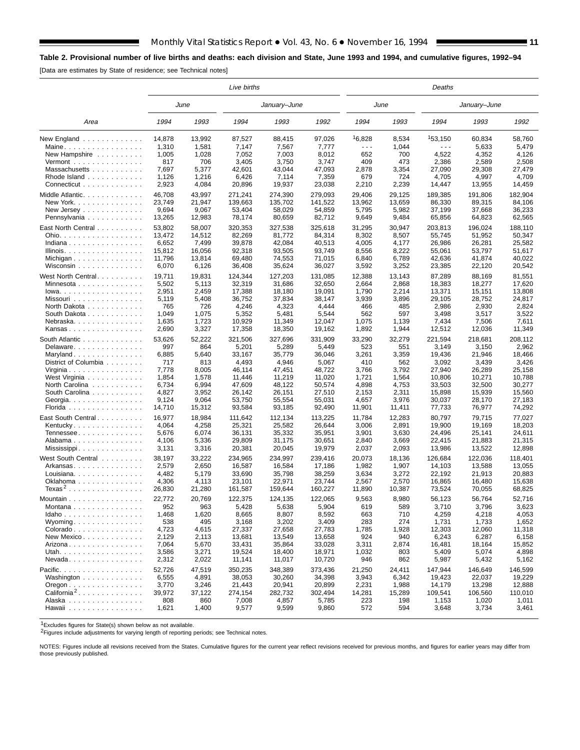# **Table 2. Provisional number of live births and deaths: each division and State, June 1993 and 1994, and cumulative figures, 1992–94**

[Data are estimates by State of residence; see Technical notes]

E

|                                                          |        |        | Live births |              |         |        |        | Deaths  |              |         |
|----------------------------------------------------------|--------|--------|-------------|--------------|---------|--------|--------|---------|--------------|---------|
|                                                          |        | June   |             | January–June |         |        | June   |         | January-June |         |
| Area                                                     | 1994   | 1993   | 1994        | 1993         | 1992    | 1994   | 1993   | 1994    | 1993         | 1992    |
| New England $\ldots$                                     | 14,878 | 13,992 | 87,527      | 88,415       | 97,026  | 16,828 | 8,534  | 153,150 | 60,834       | 58,760  |
| Maine                                                    | 1,310  | 1,581  | 7,147       | 7,567        | 7,777   | .      | 1,044  | .       | 5,633        | 5,479   |
| New Hampshire                                            | 1,005  | 1,028  | 7,052       | 7,003        | 8,012   | 652    | 700    | 4,522   | 4,352        | 4,126   |
| $Vermont$                                                | 817    | 706    | 3,405       | 3,750        | 3,747   | 409    | 473    | 2,386   | 2,589        | 2,508   |
| Massachusetts                                            | 7,697  | 5,377  | 42,601      | 43,044       | 47,093  | 2,878  | 3,354  | 27,090  | 29,308       | 27,479  |
| Rhode Island                                             | 1,126  | 1,216  | 6,426       | 7,114        | 7,359   | 679    | 724    | 4,705   | 4,997        | 4,709   |
| Connecticut                                              | 2,923  | 4,084  | 20,896      | 19,937       | 23,038  | 2,210  | 2,239  | 14,447  | 13,955       | 14,459  |
| Middle Atlantic.                                         | 46,708 | 43,997 | 271,241     | 274,390      | 279,093 | 29.406 | 29,125 | 189,385 | 191,806      | 182,904 |
| New York. $\ldots$ , $\ldots$ , $\ldots$ , $\ldots$      | 23,749 | 21,947 | 139,663     | 135,702      | 141,522 | 13,962 | 13,659 | 86,330  | 89,315       | 84,106  |
| New Jersey                                               | 9,694  | 9,067  | 53,404      | 58,029       | 54,859  | 5,795  | 5,982  | 37,199  | 37,668       | 36,233  |
| Pennsylvania                                             | 13,265 | 12,983 | 78,174      | 80,659       | 82,712  | 9,649  | 9,484  | 65,856  | 64,823       | 62,565  |
| East North Central                                       | 53,802 | 58,007 | 320,353     | 327,538      | 325,618 | 31,295 | 30,947 | 203,813 | 196,024      | 188,110 |
| Ohio.                                                    | 13,472 | 14,512 | 82,269      | 81,772       | 84,314  | 8,302  | 8,507  | 55,745  | 51,952       | 50,347  |
| Indiana                                                  | 6,652  | 7,499  | 39,878      | 42,084       | 40,513  | 4,005  | 4,177  | 26,986  | 26,281       | 25,582  |
| Illinois.                                                | 15,812 | 16,056 | 92,318      | 93,505       | 93,749  | 8,556  | 8,222  | 55,061  | 53,797       | 51,617  |
|                                                          | 11,796 | 13,814 | 69,480      | 74,553       | 71,015  | 6,840  | 6,789  | 42,636  | 41,874       | 40,022  |
| Wisconsin                                                | 6,070  | 6,126  | 36,408      | 35,624       | 36,027  | 3,592  | 3,252  | 23,385  | 22,120       | 20,542  |
| West North Central                                       | 19,711 | 19,831 | 124,344     | 127,203      | 131,085 | 12,388 | 13,143 | 87,289  | 88,169       | 81,551  |
| Minnesota                                                | 5,502  | 5,113  | 32,319      | 31,686       | 32,650  | 2,664  | 2,868  | 18,383  | 18,277       | 17.620  |
| $lowa.$                                                  | 2,951  | 2,459  | 17,388      | 18,180       | 19,091  | 1,790  | 2,214  | 13,371  | 15,151       | 13,808  |
| Missouri                                                 | 5,119  | 5,408  | 36,752      | 37,834       | 38,147  | 3,939  | 3,896  | 29,105  | 28,752       | 24,817  |
| North Dakota                                             | 765    | 726    | 4,246       | 4,323        | 4,444   | 466    | 485    | 2,986   | 2,930        | 2,824   |
| South Dakota                                             | 1,049  | 1,075  | 5,352       | 5,481        | 5,544   | 562    | 597    | 3,498   | 3,517        | 3,522   |
| Nebraska.                                                | 1,635  | 1,723  | 10,929      | 11,349       | 12,047  | 1,075  | 1,139  | 7,434   | 7,506        | 7,611   |
| Kansas                                                   | 2,690  | 3,327  | 17,358      | 18,350       | 19,162  | 1,892  | 1,944  | 12,512  | 12,036       | 11,349  |
| South Atlantic                                           | 53,626 | 52,222 | 321,506     | 327,696      | 331,909 | 33,290 | 32,279 | 221,594 | 218,681      | 208,112 |
| Delaware                                                 | 997    | 864    | 5,201       | 5,289        | 5,449   | 523    | 551    | 3,149   | 3,150        | 2,962   |
| Maryland                                                 | 6,885  | 5,640  | 33,167      | 35,779       | 36,046  | 3,261  | 3,359  | 19,436  | 21,946       | 18,466  |
| District of Columbia                                     | 717    | 813    | 4,493       | 4,946        | 5,067   | 410    | 562    | 3,092   | 3,439        | 3,426   |
| Virginia                                                 | 7,778  | 8,005  | 46,114      | 47,451       | 48,722  | 3,766  | 3,792  | 27,940  | 26,289       | 25,158  |
| West Virginia                                            | 1,854  | 1,578  | 11,446      | 11,219       | 11,020  | 1,721  | 1,564  | 10,806  | 10,271       | 10,788  |
| North Carolina                                           | 6,734  | 6,994  | 47,609      | 48,122       | 50,574  | 4,898  | 4,753  | 33,503  | 32,500       | 30,277  |
| South Carolina                                           | 4,827  | 3,952  | 26,142      | 26,151       | 27,510  | 2,153  | 2,311  | 15,898  | 15,939       | 15,560  |
| Georgia. $\ldots$ .                                      | 9,124  | 9,064  | 53,750      | 55,554       | 55,031  | 4,657  | 3,976  | 30,037  | 28,170       | 27,183  |
| Florida                                                  | 14,710 | 15,312 | 93,584      | 93,185       | 92,490  | 11,901 | 11,411 | 77,733  | 76,977       | 74,292  |
| East South Central.                                      | 16,977 | 18,984 | 111,642     | 112,134      | 113,225 | 11,784 | 12,283 | 80,797  | 79,715       | 77,027  |
| Kentucky                                                 | 4,064  | 4,258  | 25,321      | 25,582       | 26,644  | 3,006  | 2,891  | 19,900  | 19,169       | 18,203  |
| Tennessee                                                | 5,676  | 6,074  | 36,131      | 35,332       | 35,951  | 3,901  | 3,630  | 24,496  | 25,141       | 24,611  |
| Alabama                                                  | 4,106  | 5,336  | 29,809      | 31,175       | 30,651  | 2,840  | 3,669  | 22,415  | 21,883       | 21,315  |
| Mississippi                                              | 3,131  | 3,316  | 20,381      | 20,045       | 19,979  | 2,037  | 2,093  | 13,986  | 13,522       | 12,898  |
| West South Central                                       | 38,197 | 33,222 | 234,965     | 234.997      | 239,416 | 20,073 | 18,136 | 126,684 | 122,036      | 118,401 |
| Arkansas                                                 | 2,579  | 2,650  | 16,587      | 16,584       | 17,186  | 1,982  | 1,907  | 14,103  | 13,588       | 13,055  |
| Louisiana                                                | 4,482  | 5,179  | 33,690      | 35,798       | 38,259  | 3,634  | 3,272  | 22,192  | 21,913       | 20,883  |
| Oklahoma                                                 | 4,306  | 4,113  | 23,101      | 22,971       | 23,744  | 2,567  | 2,570  | 16,865  | 16.480       | 15,638  |
| Texas <sup>2</sup>                                       | 26,830 | 21,280 | 161.587     | 159,644      | 160,227 | 11,890 | 10,387 | 73,524  | 70,055       | 68,825  |
| Mountain                                                 | 22,772 | 20,769 | 122,375     | 124,135      | 122,065 | 9,563  | 8,980  | 56,123  | 56,764       | 52,716  |
| Montana                                                  | 952    | 963    | 5,428       | 5,638        | 5,904   | 619    | 589    | 3,710   | 3,796        | 3,623   |
| Idaho                                                    | 1,468  | 1,620  | 8,665       | 8,807        | 8,592   | 663    | 710    | 4,259   | 4,218        | 4,053   |
| Wyoming                                                  | 538    | 495    | 3,168       | 3,202        | 3,409   | 283    | 274    | 1,731   | 1,733        | 1,652   |
| Colorado                                                 | 4,723  | 4,615  | 27,337      | 27,658       | 27,783  | 1,785  | 1,928  | 12,303  | 12,060       | 11,318  |
| New Mexico                                               | 2,129  | 2,113  | 13,681      | 13,549       | 13,658  | 924    | 940    | 6,243   | 6,287        | 6,158   |
| Arizona. $\dots$ .                                       | 7,064  | 5,670  | 33,431      | 35,864       | 33,028  | 3,311  | 2,874  | 16,481  | 18,164       | 15,852  |
| Utah.                                                    | 3,586  | 3,271  | 19,524      | 18,400       | 18,971  | 1,032  | 803    | 5,409   | 5,074        | 4,898   |
| $N$ evada                                                | 2,312  | 2,022  | 11,141      | 11,017       | 10,720  | 946    | 862    | 5,987   | 5,432        | 5,162   |
| Pacific.                                                 | 52,726 | 47,519 | 350,235     | 348,389      | 373,436 | 21,250 | 24,411 | 147,944 | 146,649      | 146,599 |
| Washington                                               | 6,555  | 4,891  | 38,053      | 30,260       | 34,398  | 3,943  | 6,342  | 19,423  | 22,037       | 19,229  |
| $O$ regon $\ldots$ $\ldots$ $\ldots$ $\ldots$ $\ldots$ . | 3,770  | 3,246  | 21,443      | 20,941       | 20,899  | 2,231  | 1,988  | 14,179  | 13,298       | 12,888  |
| California <sup>2</sup> .                                | 39,972 | 37,122 | 274,154     | 282,732      | 302,494 | 14,281 | 15,289 | 109,541 | 106,560      | 110,010 |
| Alaska                                                   | 808    | 860    | 7,008       | 4,857        | 5,785   | 223    | 198    | 1,153   | 1,020        | 1,011   |
| Hawaii                                                   | 1,621  | 1,400  | 9,577       | 9,599        | 9,860   | 572    | 594    | 3,648   | 3,734        | 3,461   |

1Excludes figures for State(s) shown below as not available.

2Figures include adjustments for varying length of reporting periods; see Technical notes.

NOTES: Figures include all revisions received from the States. Cumulative figures for the current year reflect revisions received for previous months, and figures for earlier years may differ from those previously published.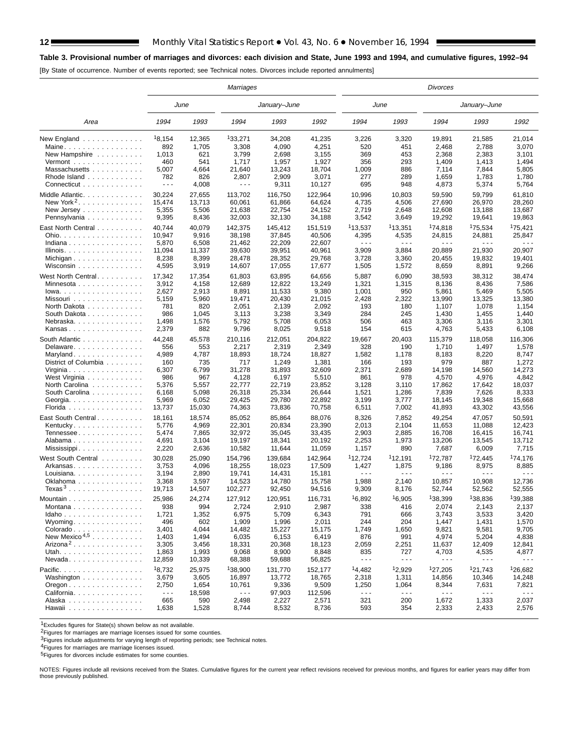#### **Table 3. Provisional number of marriages and divorces: each division and State, June 1993 and 1994, and cumulative figures, 1992–94**

[By State of occurrence. Number of events reported; see Technical notes. Divorces include reported annulments]

|                                                                 |                      |        | Marriages            |              |         |                               |                               | <b>Divorces</b>      |                               |                      |
|-----------------------------------------------------------------|----------------------|--------|----------------------|--------------|---------|-------------------------------|-------------------------------|----------------------|-------------------------------|----------------------|
|                                                                 |                      | June   |                      | January–June |         | June                          |                               |                      | January-June                  |                      |
| Area                                                            | 1994                 | 1993   | 1994                 | 1993         | 1992    | 1994                          | 1993                          | 1994                 | 1993                          | 1992                 |
| New England                                                     | <sup>1</sup> 8,154   | 12,365 | 133,271              | 34,208       | 41,235  | 3,226                         | 3,320                         | 19,891               | 21,585                        | 21,014               |
| Maine                                                           | 892                  | 1,705  | 3,308                | 4,090        | 4,251   | 520                           | 451                           | 2,468                | 2,788                         | 3,070                |
| New Hampshire                                                   | 1,013                | 621    | 3,799                | 2,698        | 3,155   | 369                           | 453                           | 2,368                | 2,383                         | 3,101                |
| $Vermont$                                                       | 460                  | 541    | 1,717                | 1,957        | 1,927   | 356                           | 293                           | 1,409                | 1,413                         | 1,494                |
| Massachusetts                                                   | 5,007                | 4,664  | 21,640               | 13,243       | 18,704  | 1,009                         | 886                           | 7,114                | 7,844                         | 5,805                |
| Rhode Island                                                    | 782                  | 826    | 2,807                | 2,909        | 3,071   | 277                           | 289                           | 1,659                | 1,783                         | 1,780                |
| Connecticut                                                     | $\sim$ $\sim$ $\sim$ | 4,008  | $- - -$              | 9,311        | 10,127  | 695                           | 948                           | 4,873                | 5,374                         | 5,764                |
| Middle Atlantic.                                                | 30,224               | 27,655 | 113,702              | 116,750      | 122,964 | 10,996                        | 10,803                        | 59,590               | 59,799                        | 61,810               |
| New York <sup>2</sup> .                                         | 15,474               | 13,713 | 60,061               | 61,866       | 64,624  | 4,735                         | 4,506                         | 27,690               | 26,970                        | 28,260               |
| New Jersey                                                      | 5,355                | 5,506  | 21,638               | 22,754       | 24,152  | 2,719                         | 2,648                         | 12,608               | 13.188                        | 13,687               |
| Pennsylvania                                                    | 9,395                | 8,436  | 32,003               | 32,130       | 34,188  | 3,542                         | 3,649                         | 19,292               | 19,641                        | 19,863               |
|                                                                 |                      |        |                      |              |         |                               |                               |                      |                               |                      |
| East North Central                                              | 40,744               | 40,079 | 142,375              | 145,412      | 151,519 | 113,537                       | 113,351                       | <sup>1</sup> 74,818  | <sup>1</sup> 75,534           | <sup>1</sup> 75,421  |
| Ohio.                                                           | 10,947               | 9,916  | 38,198               | 37,845       | 40,506  | 4,395                         | 4,535                         | 24,815               | 24,881                        | 25,847               |
| Indiana                                                         | 5,870                | 6,508  | 21,462               | 22,209       | 22,607  | $\sim$ $\sim$ $\sim$          | $\sim$ $\sim$ $\sim$          | $\sim$ $\sim$ $\sim$ | $  -$                         | $\sim$ $\sim$ $\sim$ |
| Illinois.                                                       | 11,094               | 11,337 | 39,630               | 39,951       | 40,961  | 3,909                         | 3,884                         | 20,889               | 21,930                        | 20,907               |
| Michigan                                                        | 8,238                | 8,399  | 28,478               | 28,352       | 29,768  | 3,728                         | 3,360                         | 20,455               | 19,832                        | 19,401               |
| Wisconsin                                                       | 4,595                | 3,919  | 14,607               | 17,055       | 17,677  | 1,505                         | 1,572                         | 8,659                | 8,891                         | 9,266                |
| West North Central.                                             | 17,342               | 17,354 | 61,803               | 63,895       | 64,656  | 5,887                         | 6,090                         | 38,593               | 38,312                        | 38,474               |
| Minnesota                                                       | 3,912                | 4,158  | 12,689               | 12,822       | 13,249  | 1,321                         | 1,315                         | 8,136                | 8,436                         | 7,586                |
| $lowa. \ldots. \ldots. \ldots.$                                 | 2,627                | 2,913  | 8,891                | 11,533       | 9,380   | 1,001                         | 950                           | 5,861                | 5,469                         | 5,505                |
| Missouri                                                        | 5,159                | 5,960  | 19,471               | 20,430       | 21,015  | 2,428                         | 2,322                         | 13,990               | 13,325                        | 13,380               |
| North Dakota                                                    | 781                  | 820    | 2,051                | 2,139        | 2,092   | 193                           | 180                           | 1,107                | 1,078                         | 1,154                |
| South Dakota                                                    | 986                  | 1,045  | 3,113                | 3,238        | 3,349   | 284                           | 245                           | 1,430                | 1,455                         | 1,440                |
| Nebraska                                                        | 1,498                | 1,576  | 5,792                | 5,708        | 6,053   | 506                           | 463                           | 3,306                | 3,116                         | 3,301                |
| Kansas                                                          | 2,379                | 882    | 9,796                | 8,025        | 9,518   | 154                           | 615                           | 4,763                | 5,433                         | 6,108                |
|                                                                 |                      |        |                      |              |         |                               |                               |                      |                               |                      |
| South Atlantic                                                  | 44,248               | 45,578 | 210,116              | 212,051      | 204.822 | 19,667                        | 20,403                        | 115,379              | 118,058                       | 116.306              |
| Delaware                                                        | 556                  | 553    | 2,217                | 2,319        | 2,349   | 328                           | 190                           | 1,710                | 1,497                         | 1,578                |
| Maryland                                                        | 4,989                | 4,787  | 18,893               | 18,724       | 18,827  | 1,582                         | 1,178                         | 8,183                | 8,220                         | 8,747                |
| District of Columbia                                            | 160                  | 735    | 717                  | 1,249        | 1,381   | 166                           | 193                           | 979                  | 887                           | 1,272                |
| Virginia                                                        | 6,307                | 6,799  | 31,278               | 31,893       | 32,609  | 2,371                         | 2,689                         | 14,198               | 14,560                        | 14,273               |
| West Virginia                                                   | 986                  | 967    | 4,128                | 6,197        | 5,510   | 861                           | 978                           | 4,570                | 4,976                         | 4,842                |
| North Carolina                                                  | 5,376                | 5,557  | 22,777               | 22,719       | 23,852  | 3,128                         | 3,110                         | 17,862               | 17,642                        | 18,037               |
| South Carolina                                                  | 6,168                | 5,098  | 26,318               | 25,334       | 26,644  | 1,521                         | 1,286                         | 7,839                | 7,626                         | 8,333                |
| Georgia                                                         | 5,969                | 6,052  | 29,425               | 29,780       | 22,892  | 3,199                         | 3,777                         | 18,145               | 19,348                        | 15,668               |
| Florida                                                         | 13,737               | 15,030 | 74,363               | 73,836       | 70,758  | 6,511                         | 7,002                         | 41,893               | 43,302                        | 43,556               |
| East South Central                                              | 18,161               | 18,574 | 85,052               | 85,864       | 88,076  | 8,326                         | 7,852                         | 49,254               | 47,057                        | 50,591               |
| Kentucky.                                                       | 5,776                | 4,969  | 22,301               | 20,834       | 23,390  | 2,013                         | 2,104                         | 11,653               | 11,088                        | 12,423               |
| Tennessee                                                       | 5,474                | 7,865  | 32,972               | 35,045       | 33,435  | 2,903                         | 2,885                         | 16,708               | 16,415                        | 16,741               |
| Alabama                                                         | 4,691                | 3,104  | 19,197               | 18,341       | 20,192  | 2,253                         | 1,973                         | 13,206               | 13,545                        | 13,712               |
| $Miss is$ ippident and $M$ is stated in $M$                     | 2,220                | 2,636  | 10,582               | 11,644       | 11,059  | 1,157                         | 890                           | 7,687                | 6,009                         | 7,715                |
|                                                                 |                      |        |                      |              |         | 112,724                       |                               |                      |                               | <sup>1</sup> 74,176  |
| West South Central                                              | 30,028               | 25,090 | 154,796              | 139,684      | 142,964 |                               | <sup>1</sup> 12,191           | 172,787              | <sup>1</sup> 72,445           |                      |
| Arkansas                                                        | 3,753<br>3,194       | 4,096  | 18,255<br>19,741     | 18,023       | 17,509  | 1,427<br>$\sim$ $\sim$ $\sim$ | 1,875<br>$\sim$ $\sim$ $\sim$ | 9,186<br>.           | 8,975<br>$\sim$ $\sim$ $\sim$ | 8,885<br>.           |
| Louisiana                                                       |                      | 2,890  |                      | 14,431       | 15,181  |                               |                               |                      |                               | 12.736               |
| Oklahoma                                                        | 3,368                | 3,597  | 14,523               | 14,780       | 15,758  | 1,988                         | 2,140                         | 10,857               | 10,908                        |                      |
| Texas $3 \ldots \ldots \ldots \ldots \ldots$                    | 19,713               | 14,507 | 102,277              | 92,450       | 94,516  | 9,309                         | 8,176                         | 52,744               | 52,562                        | 52,555               |
| Mountain $\ldots$ , $\ldots$ , $\ldots$ , $\ldots$              | 25,986               | 24,274 | 127,912              | 120,951      | 116,731 | 16,892                        | 16,905                        | 138,399              | 138,836                       | 139,388              |
| Montana                                                         | 938                  | 994    | 2,724                | 2,910        | 2,987   | 338                           | 416                           | 2,074                | 2,143                         | 2,137                |
| $Idaho \ldots \ldots \ldots \ldots$                             | 1,721                | 1,352  | 6,975                | 5,709        | 6,343   | 791                           | 666                           | 3,743                | 3,533                         | 3,420                |
| Wyoming                                                         | 496                  | 602    | 1,909                | 1,996        | 2,011   | 244                           | 204                           | 1,447                | 1,431                         | 1,570                |
| Colorado                                                        | 3,401                | 4,044  | 14,482               | 15,227       | 15,175  | 1,749                         | 1,650                         | 9,821                | 9,581                         | 9,705                |
| New Mexico <sup>4,5</sup>                                       | 1,403                | 1,494  | 6,035                | 6,153        | 6,419   | 876                           | 991                           | 4,974                | 5,204                         | 4,838                |
| Arizona <sup>2</sup>                                            | 3,305                | 3,456  | 18,331               | 20,368       | 18,123  | 2,059                         | 2,251                         | 11,637               | 12,409                        | 12,841               |
| Utah.                                                           | 1,863                | 1,993  | 9,068                | 8,900        | 8,848   | 835                           | 727                           | 4,703                | 4,535                         | 4,877                |
| Nevada                                                          | 12,859               | 10,339 | 68,388               | 59,688       | 56,825  | $\sim$ $\sim$ $\sim$          | $\sim$ $\sim$ $\sim$          | $\sim$ $\sim$ $\sim$ | $- - -$                       | $\sim$ $\sim$ $\sim$ |
| Pacific.                                                        | 18,732               | 25,975 | 138,900              | 131,770      | 152,177 | 14,482                        | 12,929                        | 127,205              | 121,743                       | 126,682              |
| Washington                                                      | 3,679                | 3,605  | 16,897               | 13,772       | 18,765  | 2,318                         | 1,311                         | 14,856               | 10,346                        | 14,248               |
|                                                                 |                      |        |                      |              |         |                               |                               |                      |                               |                      |
| $O$ regon $\ldots$ $\ldots$ $\ldots$ $\ldots$ $\ldots$ $\ldots$ | 2,750                | 1,654  | 10,761               | 9,336        | 9,509   | 1,250                         | 1,064                         | 8,344                | 7,631                         | 7,821                |
| California.                                                     | $\sim$ $\sim$ $\sim$ | 18,598 | $\sim$ $\sim$ $\sim$ | 97,903       | 112,596 | $\sim$ $\sim$ $\sim$          | $\sim$ $\sim$ $\sim$          | $\sim$ $\sim$ $\sim$ | $\sim$ $\sim$ $\sim$          | $\sim$ $\sim$ $\sim$ |
| Alaska                                                          | 665                  | 590    | 2,498                | 2,227        | 2,571   | 321                           | 200                           | 1,672                | 1,333                         | 2,037                |
| Hawaii                                                          | 1,638                | 1,528  | 8,744                | 8,532        | 8,736   | 593                           | 354                           | 2,333                | 2,433                         | 2,576                |

1Excludes figures for State(s) shown below as not available.

2Figures for marriages are marriage licenses issued for some counties.

<sup>3</sup>Figures include adjustments for varying length of reporting periods; see Technical notes.

4Figures for marriages are marriage licenses issued.

5Figures for divorces include estimates for some counties.

NOTES: Figures include all revisions received from the States. Cumulative figures for the current year reflect revisions received for previous months, and figures for earlier years may differ from those previously published.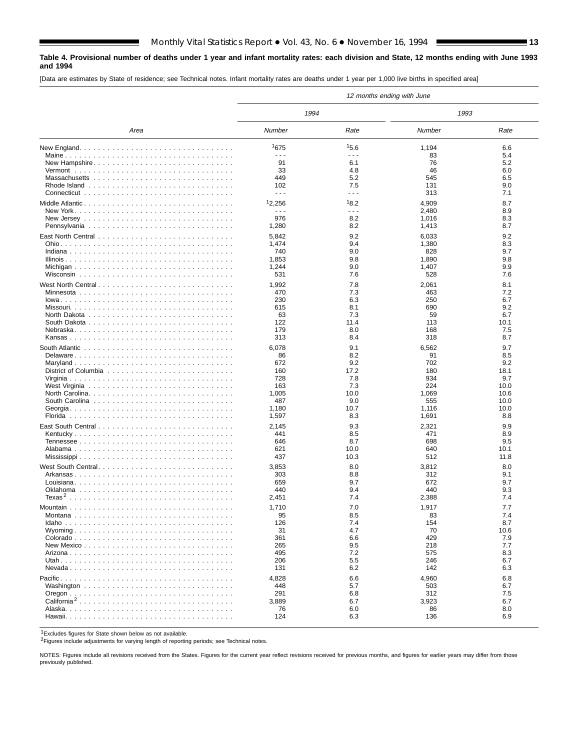### **Table 4. Provisional number of deaths under 1 year and infant mortality rates: each division and State, 12 months ending with June 1993 and 1994**

[Data are estimates by State of residence; see Technical notes. Infant mortality rates are deaths under 1 year per 1,000 live births in specified area]

|                         |                             |                      | 12 months ending with June |            |
|-------------------------|-----------------------------|----------------------|----------------------------|------------|
|                         | 1994                        |                      | 1993                       |            |
| Area                    | Number                      | Rate                 | Number                     | Rate       |
|                         | 1675                        | 15.6                 | 1,194                      | 6.6        |
|                         | $\sim$ $\sim$ $\sim$        | $\sim$ $\sim$ $\sim$ | 83                         | 5.4        |
| New Hampshire           | 91                          | 6.1                  | 76                         | 5.2        |
|                         | 33                          | 4.8                  | 46                         | 6.0        |
|                         | 449                         | 5.2<br>7.5           | 545                        | 6.5<br>9.0 |
|                         | 102<br>$\sim$ $\sim$ $\sim$ | $- - -$              | 131<br>313                 | 7.1        |
|                         |                             |                      |                            |            |
|                         | 12,256                      | 18.2                 | 4,909                      | 8.7        |
|                         | $\sim$ $\sim$ $\sim$        | $\sim$ $\sim$ $\sim$ | 2,480                      | 8.9        |
|                         | 976                         | 8.2                  | 1,016                      | 8.3<br>8.7 |
|                         | 1,280                       | 8.2                  | 1,413                      |            |
|                         | 5,842                       | 9.2                  | 6,033                      | 9.2        |
|                         | 1,474                       | 9.4                  | 1,380                      | 8.3        |
|                         | 740                         | 9.0                  | 828                        | 9.7        |
|                         | 1,853                       | 9.8                  | 1,890                      | 9.8        |
|                         | 1,244<br>531                | 9.0<br>7.6           | 1,407<br>528               | 9.9<br>7.6 |
|                         |                             |                      |                            |            |
| West North Central      | 1,992                       | 7.8                  | 2,061                      | 8.1        |
|                         | 470                         | 7.3                  | 463                        | 7.2        |
|                         | 230                         | 6.3                  | 250                        | 6.7        |
|                         | 615<br>63                   | 8.1<br>7.3           | 690<br>59                  | 9.2<br>6.7 |
|                         | 122                         | 11.4                 | 113                        | 10.1       |
|                         | 179                         | 8.0                  | 168                        | 7.5        |
|                         | 313                         | 8.4                  | 318                        | 8.7        |
|                         |                             |                      |                            |            |
| Delaware                | 6,078<br>86                 | 9.1<br>8.2           | 6,562<br>91                | 9.7<br>8.5 |
|                         | 672                         | 9.2                  | 702                        | 9.2        |
|                         | 160                         | 17.2                 | 180                        | 18.1       |
|                         | 728                         | 7.8                  | 934                        | 9.7        |
|                         | 163                         | 7.3                  | 224                        | 10.0       |
|                         | 1,005                       | 10.0                 | 1,069                      | 10.6       |
|                         | 487                         | 9.0                  | 555                        | 10.0       |
|                         | 1,180                       | 10.7                 | 1,116                      | 10.0       |
|                         | 1,597                       | 8.3                  | 1,691                      | 8.8        |
|                         | 2,145                       | 9.3                  | 2,321                      | 9.9        |
|                         | 441                         | 8.5                  | 471                        | 8.9        |
|                         | 646                         | 8.7                  | 698                        | 9.5        |
|                         | 621                         | 10.0                 | 640                        | 10.1       |
|                         | 437                         | 10.3                 | 512                        | 11.8       |
|                         | 3,853                       | 8.0                  | 3,812                      | 8.0        |
|                         | 303                         | 8.8                  | 312                        | 9.1        |
|                         | 659                         | 9.7                  | 672                        | 9.7        |
|                         | 440                         | 9.4                  | 440                        | 9.3        |
|                         | 2,451                       | 7.4                  | 2,388                      | 7.4        |
|                         | 1,710                       | 7.0                  | 1,917                      | 7.7        |
|                         | 95                          | 8.5                  | 83                         | 7.4        |
|                         | 126                         | 7.4                  | 154                        | 8.7        |
|                         | 31                          | 4.7                  | 70                         | 10.6       |
|                         | 361                         | 6.6                  | 429                        | 7.9        |
|                         | 265                         | 9.5                  | 218                        | 7.7        |
|                         | 495                         | 7.2                  | 575                        | 8.3        |
|                         | 206                         | 5.5                  | 246                        | 6.7        |
|                         | 131                         | 6.2                  | 142                        | 6.3        |
|                         | 4,828                       | 6.6                  | 4,960                      | 6.8        |
|                         | 448                         | 5.7                  | 503                        | 6.7        |
|                         | 291                         | 6.8                  | 312                        | 7.5        |
| California <sup>2</sup> | 3,889                       | 6.7                  | 3,923                      | 6.7        |
|                         | 76                          | 6.0                  | 86                         | 8.0        |
|                         | 124                         | 6.3                  | 136                        | 6.9        |

1Excludes figures for State shown below as not available.

2Figures include adjustments for varying length of reporting periods; see Technical notes.

NOTES: Figures include all revisions received from the States. Figures for the current year reflect revisions received for previous months, and figures for earlier years may differ from those previously published.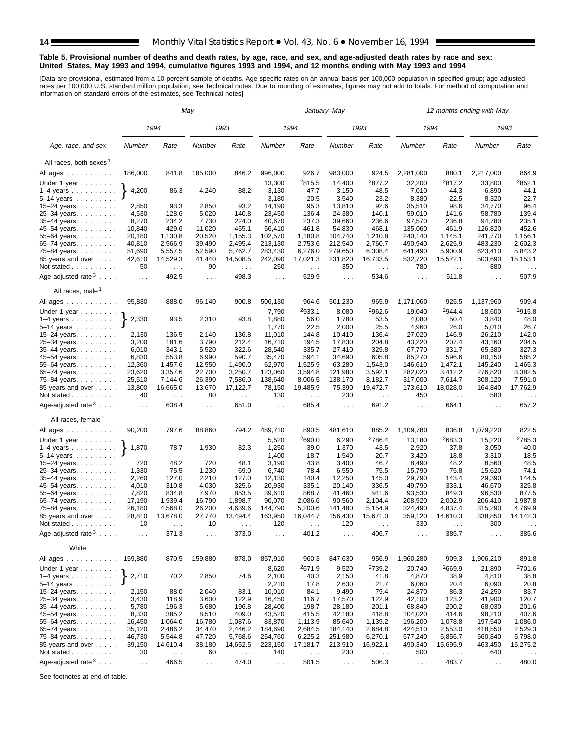#### **Table 5. Provisional number of deaths and death rates, by age, race, and sex, and age-adjusted death rates by race and sex: United States, May 1993 and 1994, cumulative figures 1993 and 1994, and 12 months ending with May 1993 and 1994**

[Data are provisional, estimated from a 10-percent sample of deaths. Age-specific rates on an annual basis per 100,000 population in specified group; age-adjusted<br>rates per 100,000 U.S. standard million population; see Tec

|                                                                                                      |                  |                               | May                |                    |                      |                             | January–May                 |                        |                      |                        | 12 months ending with May |                        |
|------------------------------------------------------------------------------------------------------|------------------|-------------------------------|--------------------|--------------------|----------------------|-----------------------------|-----------------------------|------------------------|----------------------|------------------------|---------------------------|------------------------|
|                                                                                                      |                  | 1994                          |                    | 1993               |                      | 1994                        |                             | 1993                   | 1994                 |                        | 1993                      |                        |
| Age, race, and sex                                                                                   | Number           | Rate                          | Number             | Rate               | Number               | Rate                        | Number                      | Rate                   | Number               | Rate                   | Number                    | Rate                   |
| All races, both sexes <sup>1</sup>                                                                   |                  |                               |                    |                    |                      |                             |                             |                        |                      |                        |                           |                        |
| All ages                                                                                             | 186,000          | 841.8                         | 185,000            | 846.2              | 996,000              | 926.7                       | 983,000                     | 924.5                  | 2,281,000            | 880.1                  | 2,217,000                 | 864.9                  |
| Under 1 year $\ldots \ldots$                                                                         |                  |                               |                    |                    | 13,300               | <sup>2</sup> 815.5          | 14,400                      | <sup>2</sup> 877.2     | 32,200               | 2817.2                 | 33,800                    | <sup>2</sup> 852.1     |
| $1-4$ years                                                                                          | 4,200            | 86.3                          | 4,240              | 88.2               | 3,130                | 47.7                        | 3,150                       | 48.5                   | 7,010                | 44.3                   | 6,890                     | 44.1                   |
| 5-14 years                                                                                           |                  |                               |                    |                    | 3,180                | 20.5                        | 3,540                       | 23.2                   | 8,380                | 22.5                   | 8,320                     | 22.7                   |
| 15-24 years.                                                                                         | 2,850            | 93.3                          | 2,850              | 93.2               | 14,190               | 95.3                        | 13,810                      | 92.6                   | 35,510               | 98.6                   | 34,770                    | 96.4                   |
| 25-34 years.                                                                                         | 4,530            | 128.6                         | 5,020              | 140.8              | 23,450               | 136.4                       | 24,380                      | 140.1                  | 59.010               | 141.6                  | 58,780                    | 139.4                  |
| 35-44 years.                                                                                         | 8,270            | 234.2                         | 7,730              | 224.0              | 40,670               | 237.3                       | 39.660                      | 236.6                  | 97,570               | 236.8                  | 94,780                    | 235.1                  |
| 45-54 years.                                                                                         | 10,840           | 429.6                         | 11,020             | 455.1              | 56,410               | 461.8                       | 54,830                      | 468.1                  | 135,060              | 461.9                  | 126,820                   | 452.6                  |
| 55-64 years.                                                                                         | 20,180           | 1,130.8                       | 20,520             | 1,155.3            | 102,570              | 1,180.8                     | 104.740                     | 1,210.8                | 240,140              | 1,145.1                | 241,770                   | 1,156.1                |
| 65-74 years.<br>75-84 years.                                                                         | 40,810<br>51,690 | 2,566.9<br>5,557.5            | 39,490<br>52,590   | 2,495.4<br>5,762.7 | 213,130<br>283,430   | 2,753.6<br>6,276.0          | 212,540<br>279,650          | 2,760.7<br>6,308.4     | 490,940<br>641,490   | 2,625.9<br>5,900.9     | 483,230<br>623,410        | 2,602.3<br>5,843.2     |
| 85 years and over                                                                                    | 42,610           | 14,529.3                      | 41,440             | 14,508.5           | 242,090              | 17,021.3                    | 231,820                     | 16,733.5               | 532,720              | 15,572.1               | 503,690                   | 15,153.1               |
| Not stated                                                                                           | 50               | $\sim$ .                      | 90                 | $\sim$             | 250                  | $\sim$ .                    | 350                         | $\sim 100$             | 780                  | $\sim$ $\sim$ $\sim$   | 880                       | $\ldots$               |
| Age-adjusted rate $3 \ldots$ .                                                                       | $\cdots$         | 492.5                         | $\cdots$           | 498.3              | $\cdots$             | 529.9                       | $\cdots$                    | 534.6                  | $\sim 100$           | 511.8                  | $\sim$ $\sim$ $\sim$      | 507.9                  |
| All races, male <sup>1</sup>                                                                         |                  |                               |                    |                    |                      |                             |                             |                        |                      |                        |                           |                        |
| All ages $\dots$ $\dots$ $\dots$ $\dots$                                                             | 95,830           | 888.0                         | 96,140             | 900.8              | 506,130              | 964.6                       | 501,230                     | 965.9                  | 1,171,060            | 925.5                  | 1,137,960                 | 909.4                  |
| Under 1 year                                                                                         |                  |                               |                    |                    | 7,790                | 2933.1                      | 8,080                       | 2962.6                 | 19,040               | 2944.4                 | 18,600                    | <sup>2</sup> 915.8     |
| $1-4$ years                                                                                          | 2,330            | 93.5                          | 2,310              | 93.8               | 1,880                | 56.0                        | 1,780                       | 53.5                   | 4,080                | 50.4                   | 3,840                     | 48.0                   |
| 5–14 years $\ldots$                                                                                  |                  |                               |                    |                    | 1,770                | 22.5                        | 2,000                       | 25.5                   | 4,960                | 26.0                   | 5,010                     | 26.7                   |
| 15-24 years.                                                                                         | 2,130            | 136.5                         | 2,140              | 136.8              | 11,010               | 144.8                       | 10,410                      | 136.4                  | 27,020               | 146.9                  | 26,210                    | 142.0                  |
| 25-34 years.                                                                                         | 3,200            | 181.6                         | 3,790              | 212.4              | 16,710               | 194.5                       | 17,830                      | 204.8                  | 43,220               | 207.4                  | 43,160                    | 204.5                  |
| 35-44 years.                                                                                         | 6,010            | 343.1                         | 5,520              | 322.6              | 28,540               | 335.7                       | 27,410                      | 329.8                  | 67,770               | 331.7                  | 65,380                    | 327.3                  |
| 45-54 years.                                                                                         | 6,830            | 553.8                         | 6,990              | 590.7              | 35,470               | 594.1                       | 34,690                      | 605.8                  | 85,270               | 596.6                  | 80,150                    | 585.2                  |
| 55-64 years.                                                                                         | 12,360           | 1,457.6                       | 12,550             | 1,490.0            | 62,970               | 1,525.9                     | 63,280                      | 1,543.0                | 146,610              | 1,472.1                | 145,240                   | 1,465.3                |
| 65-74 years.<br>75-84 years.                                                                         | 23,620<br>25,510 | 3,357.6<br>7,144.6            | 22,700<br>26,390   | 3,250.7<br>7,586.0 | 123,060<br>138,640   | 3,594.8<br>8,006.5          | 121,980<br>138,170          | 3,592.1<br>8,182.7     | 282,020<br>317,000   | 3,412.2<br>7,614.7     | 276,820<br>308,120        | 3,382.5<br>7,591.0     |
| 85 years and over                                                                                    | 13,800           | 16,665.0                      | 13,670             | 17,122.7           | 78,150               | 19,485.9                    | 75,390                      | 19,472.7               | 173,610              | 18,028.0               | 164,840                   | 17,762.9               |
| Not stated<br>Age-adjusted rate $3 \ldots$ .                                                         | 40<br>$\ldots$   | $\sim$ $\sim$ $\sim$<br>638.4 | 80<br>$\mathbf{1}$ | $\sim$<br>651.0    | 130<br>$\sim$ $\sim$ | $\sim$ $\sim$<br>685.4      | 230<br>$\sim$ $\sim$ $\sim$ | $\sim$ $\sim$<br>691.2 | 450<br>$\ldots$      | $\sim$ $\sim$<br>664.1 | 580<br>$\sim$ .           | $\sim$ $\sim$<br>657.2 |
|                                                                                                      |                  |                               |                    |                    |                      |                             |                             |                        |                      |                        |                           |                        |
| All races, female <sup>1</sup>                                                                       | 90,200           |                               |                    |                    |                      |                             |                             |                        |                      |                        |                           | 822.5                  |
| All ages                                                                                             |                  | 797.6                         | 88,860             | 794.2              | 489,710              | 890.5                       | 481,610                     | 885.2                  | 1,109,780            | 836.8                  | 1,079,220                 |                        |
| Under 1 year $\ldots \ldots$                                                                         |                  |                               |                    |                    | 5,520                | <sup>2</sup> 690.0          | 6,290                       | <sup>2</sup> 786.4     | 13,180               | 2683.3                 | 15,220                    | 2785.3                 |
| $1-4$ years                                                                                          | 1,870            | 78.7                          | 1,930              | 82.3               | 1,250                | 39.0                        | 1,370                       | 43.5                   | 2,920                | 37.8                   | 3,050                     | 40.0                   |
| 5-14 years                                                                                           | 720              | 48.2                          | 720                | 48.1               | 1,400<br>3,190       | 18.7<br>43.8                | 1,540<br>3,400              | 20.7<br>46.7           | 3,420<br>8,490       | 18.8<br>48.2           | 3,310<br>8,560            | 18.5<br>48.5           |
| 15-24 years.<br>25-34 years.                                                                         | 1,330            | 75.5                          | 1,230              | 69.0               | 6,740                | 78.4                        | 6,550                       | 75.5                   | 15,790               | 75.8                   | 15,620                    | 74.1                   |
| 35-44 years.                                                                                         | 2,260            | 127.0                         | 2,210              | 127.0              | 12,130               | 140.4                       | 12,250                      | 145.0                  | 29,790               | 143.4                  | 29.390                    | 144.5                  |
| 45-54 years.                                                                                         | 4,010            | 310.8                         | 4,030              | 325.6              | 20,930               | 335.1                       | 20,140                      | 336.5                  | 49,790               | 333.1                  | 46,670                    | 325.8                  |
| 55-64 years.                                                                                         | 7,820            | 834.8                         | 7,970              | 853.5              | 39,610               | 868.7                       | 41,460                      | 911.6                  | 93,530               | 849.3                  | 96,530                    | 877.5                  |
| 65-74 years.                                                                                         | 17,190           | 1,939.4                       | 16,790             | 1,898.7            | 90,070               | 2,086.6                     | 90,560                      | 2,104.4                | 208,920              | 2,002.9                | 206,410                   | 1,987.8                |
| 75–84 years.                                                                                         | 26,180           | 4,568.0                       | 26,200             | 4,639.6            | 144,790              | 5,200.6                     | 141,480                     | 5,154.9                | 324,490              | 4,837.4                | 315,290                   | 4,769.9                |
| 85 years and over                                                                                    | 28,810           | 13,678.0                      | 27,770             | 13,494.4           | 163,950              | 16,044.7                    | 156,430                     | 15,671.0               | 359,120              | 14,610.3               | 338,850                   | 14,142.3               |
| Not stated.<br>$\alpha$ , $\alpha$ , $\alpha$ , $\alpha$ , $\alpha$ , $\alpha$ , $\alpha$ , $\alpha$ | 10               |                               | 10                 |                    | 120                  |                             | 120                         |                        | 330                  |                        | 300                       |                        |
| Age-adjusted rate $3 \ldots$ .                                                                       | $\cdots$         | 371.3                         | $\cdots$           | 373.0              | $\cdots$             | 401.2                       | $\cdots$                    | 406.7                  | $\sim$ $\sim$        | 385.7                  | .                         | 385.6                  |
| White                                                                                                |                  |                               | 159,880            |                    |                      |                             |                             |                        |                      |                        |                           |                        |
| All ages<br>Under 1 year $\ldots \ldots$                                                             | 159,880          | 870.5                         |                    | 878.0              | 857,910<br>8,620     | 960.3<br><sup>2</sup> 671.9 | 847,630<br>9,520            | 956.9<br>2739.2        | 1,960,280<br>20,740  | 909.3<br>2669.9        | 1,906,210<br>21,890       | 891.8<br>2701.6        |
| $1-4$ years                                                                                          | 2,710            | 70.2                          | 2,850              | 74.6               | 2,100                | 40.3                        | 2,150                       | 41.8                   | 4,870                | 38.9                   | 4,810                     | 38.8                   |
| 5–14 years $\ldots$                                                                                  |                  |                               |                    |                    | 2,210                | 17.8                        | 2,630                       | 21.7                   | 6,060                | 20.4                   | 6,090                     | 20.8                   |
| 15–24 years. $\ldots$                                                                                | 2,150<br>3,430   | 88.0<br>118.9                 | 2,040<br>3,600     | 83.1<br>122.9      | 10,010<br>16,450     | 84.1<br>116.7               | 9,490<br>17,570             | 79.4<br>122.9          | 24,870<br>42,100     | 86.3<br>123.2          | 24,250<br>41,900          | 83.7<br>120.7          |
| 25-34 years.<br>35-44 years.                                                                         | 5,780            | 196.3                         | 5,680              | 196.8              | 28,400               | 198.7                       | 28,180                      | 201.1                  | 68,840               | 200.2                  | 68,030                    | 201.6                  |
| 45-54 years.                                                                                         | 8,330            | 385.2                         | 8,510              | 409.0              | 43,520               | 415.5                       | 42,180                      | 418.8                  | 104,020              | 414.6                  | 98,210                    | 407.6                  |
| 55–64 years.                                                                                         | 16,450           | 1,064.0                       | 16,780             | 1,087.6            | 83,870               | 1,113.9                     | 85,640                      | 1,139.2                | 196,200              | 1,078.8                | 197,540                   | 1,086.0                |
| 65-74 years.                                                                                         | 35,120           | 2,486.2                       | 34,470             | 2,446.2            | 184,690              | 2,684.5                     | 184,140                     | 2,684.8                | 424,510              | 2,553.0                | 418,550                   | 2,529.3                |
| 75-84 years.                                                                                         | 46,730           | 5,544.8                       | 47,720             | 5,768.6            | 254,760              | 6,225.2                     | 251,980                     | 6,270.1                | 577,240              | 5,856.7                | 560,840                   | 5,798.0                |
| 85 years and over                                                                                    | 39,150           | 14,610.4                      | 38,180             | 14,652.5           | 223,150              | 17,181.7                    | 213,910                     | 16,922.1               | 490,340              | 15,695.9               | 463,450                   | 15,275.2               |
| Not stated                                                                                           | 30               | $\sim$ .                      | 60                 | $\sim$ .           | 140                  | $\sim$ .                    | 230                         | $\sim$ $\sim$          | 500                  | $\sim$ $\sim$          | 640                       | $\sim$ $\sim$          |
| Age-adjusted rate $3 \ldots$ .                                                                       | $\sim$ $\sim$    | 466.5                         | $\sim$ $\sim$      | 474.0              | $\sim$ $\sim$        | 501.5                       | $\sim$ $\sim$ $\sim$        | 506.3                  | $\sim$ $\sim$ $\sim$ | 483.7                  | $\sim$ $\sim$ $\sim$      | 480.0                  |

See footnotes at end of table.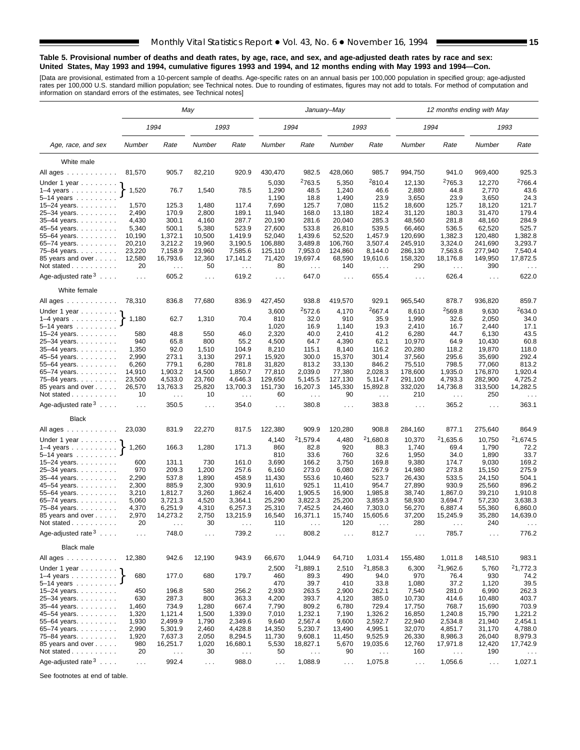#### **Table 5. Provisional number of deaths and death rates, by age, race, and sex, and age-adjusted death rates by race and sex: United States, May 1993 and 1994, cumulative figures 1993 and 1994, and 12 months ending with May 1993 and 1994—Con.**

[Data are provisional, estimated from a 10-percent sample of deaths. Age-specific rates on an annual basis per 100,000 population in specified group; age-adjusted<br>rates per 100,000 U.S. standard million population; see Tec

|                                              |                |                      | May                         |                                  |                      |                    | January–May      |                           |                      | 12 months ending with May |                      |                                  |
|----------------------------------------------|----------------|----------------------|-----------------------------|----------------------------------|----------------------|--------------------|------------------|---------------------------|----------------------|---------------------------|----------------------|----------------------------------|
|                                              |                | 1994                 |                             | 1993                             |                      | 1994               |                  | 1993                      |                      | 1994                      |                      | 1993                             |
| Age, race, and sex                           | Number         | Rate                 | Number                      | Rate                             | Number               | Rate               | Number           | Rate                      | Number               | Rate                      | Number               | Rate                             |
| White male                                   |                |                      |                             |                                  |                      |                    |                  |                           |                      |                           |                      |                                  |
| All ages                                     | 81,570         | 905.7                | 82,210                      | 920.9                            | 430,470              | 982.5              | 428,060          | 985.7                     | 994,750              | 941.0                     | 969,400              | 925.3                            |
|                                              |                |                      |                             |                                  |                      | <sup>2</sup> 763.5 |                  | <sup>2</sup> 810.4        |                      | <sup>2</sup> 765.3        |                      | 2766.4                           |
| Under 1 year $\cdot$<br>1-4 years $\uparrow$ | 1,520          | 76.7                 | 1,540                       | 78.5                             | 5,030<br>1,290       | 48.5               | 5,350<br>1,240   | 46.6                      | 12,130<br>2,880      | 44.8                      | 12,270<br>2,770      | 43.6                             |
| $5 - 14$ years                               |                |                      |                             |                                  | 1,190                | 18.8               | 1,490            | 23.9                      | 3,650                | 23.9                      | 3,650                | 24.3                             |
| 15-24 years.                                 | 1,570          | 125.3                | 1,480                       | 117.4                            | 7,690                | 125.7              | 7,080            | 115.2                     | 18,600               | 125.7                     | 18,120               | 121.7                            |
| 25-34 years.                                 | 2,490          | 170.9                | 2,800                       | 189.1                            | 11,940               | 168.0              | 13,180           | 182.4                     | 31,120               | 180.3                     | 31,470               | 179.4                            |
| 35-44 years.                                 | 4,430          | 300.1                | 4,160                       | 287.7                            | 20,190               | 281.6              | 20,040           | 285.3                     | 48,560               | 281.8                     | 48,160               | 284.9                            |
| 45-54 years.                                 | 5,340          | 500.1                | 5,380                       | 523.9                            | 27,600               | 533.8              | 26,810           | 539.5                     | 66,460               | 536.5                     | 62,520               | 525.7                            |
| 55-64 years.                                 | 10,190         | 1,372.1              | 10,500                      | 1,419.9                          | 52,040               | 1,439.6            | 52,520           | 1,457.9                   | 120,690              | 1,382.3                   | 120,480              | 1,382.8                          |
| 65-74 years.                                 | 20,210         | 3,212.2              | 19,960                      | 3,190.5                          | 106,880              | 3,489.8            | 106,760          | 3,507.4                   | 245,910              | 3,324.0                   | 241,690              | 3,293.7                          |
| 75-84 years.                                 | 23,220         | 7,158.9              | 23,960                      | 7,585.6                          | 125,110              | 7,953.0            | 124,860          | 8,144.0                   | 286,130              | 7,563.6                   | 277,940              | 7,540.4                          |
| 85 years and over                            | 12,580         | 16,793.6             | 12,360                      | 17,141.2                         | 71,420               | 19,697.4           | 68,590           | 19,610.6                  | 158,320              | 18,176.8                  | 149,950              | 17,872.5                         |
| Not stated $\ldots$                          | 20             | $\sim$ $\sim$        | 50                          | $\sim 100$                       | 80                   | $\ldots$           | 140              | $\sim$ $\sim$             | 290                  | $\cdots$                  | 390                  | $\cdots$                         |
| Age-adjusted rate $3 \ldots$ .               | $\cdots$       | 605.2                | $\mathcal{L}^{\mathcal{L}}$ | 619.2                            | $\sim$ $\sim$ $\sim$ | 647.0              | $\sim$ $\sim$    | 655.4                     | $\sim 100$           | 626.4                     | $\sim$ $\sim$ $\sim$ | 622.0                            |
| White female                                 |                |                      |                             |                                  |                      |                    |                  |                           |                      |                           |                      |                                  |
| All ages                                     | 78,310         | 836.8                | 77,680                      | 836.9                            | 427,450              | 938.8              | 419,570          | 929.1                     | 965,540              | 878.7                     | 936,820              | 859.7                            |
| Under 1 year                                 |                |                      |                             |                                  | 3,600                | 2572.6             | 4,170            | <sup>2</sup> 667.4        | 8,610                | <sup>2</sup> 569.8        | 9,630                | 2634.0                           |
| $1-4$ years                                  | 1,180          | 62.7                 | 1,310                       | 70.4                             | 810                  | 32.0               | 910              | 35.9                      | 1,990                | 32.6                      | 2,050                | 34.0<br>17.1                     |
| $5 - 14$ years<br>15-24 years.               | 580            | 48.8                 | 550                         | 46.0                             | 1,020<br>2,320       | 16.9<br>40.0       | 1,140<br>2,410   | 19.3<br>41.2              | 2,410<br>6,280       | 16.7<br>44.7              | 2,440<br>6,130       | 43.5                             |
| 25-34 years.                                 | 940            | 65.8                 | 800                         | 55.2                             | 4,500                | 64.7               | 4,390            | 62.1                      | 10,970               | 64.9                      | 10,430               | 60.8                             |
| 35-44 years.                                 | 1,350          | 92.0                 | 1,510                       | 104.9                            | 8,210                | 115.1              | 8,140            | 116.2                     | 20,280               | 118.2                     | 19,870               | 118.0                            |
| 45–54 years.                                 | 2,990          | 273.1                | 3,130                       | 297.1                            | 15,920               | 300.0              | 15,370           | 301.4                     | 37,560               | 295.6                     | 35,690               | 292.4                            |
| 55-64 years.                                 | 6,260          | 779.1                | 6,280                       | 781.8                            | 31,820               | 813.2              | 33,130           | 846.2                     | 75,510               | 798.5                     | 77,060               | 813.2                            |
| 65–74 years. $\ldots$                        | 14,910         | 1,903.2              | 14,500                      | 1,850.7                          | 77,810               | 2,039.0            | 77,380           | 2,028.3                   | 178,600              | 1,935.0                   | 176,870              | 1,920.4                          |
| 75-84 years.                                 | 23,500         | 4,533.0              | 23,760                      | 4,646.3                          | 129,650              | 5,145.5            | 127,130          | 5,114.7                   | 291,100              | 4,793.3                   | 282,900              | 4,725.2                          |
| 85 years and over<br>Not stated              | 26,570<br>10   | 13,763.3<br>$\cdots$ | 25,820<br>10                | 13,700.3<br>$\sim$ $\sim$ $\sim$ | 151,730<br>60        | 16,207.3<br>$\sim$ | 145,330<br>90    | 15,892.8<br>$\sim$ $\sim$ | 332,020<br>210       | 14,736.8<br>$\sim$ .      | 313,500<br>250       | 14,282.5<br>$\sim$ $\sim$ $\sim$ |
| Age-adjusted rate $3 \ldots$ .               | $\cdots$       | 350.5                | $\cdots$                    | 354.0                            | $\cdots$             | 380.8              | $\cdots$         | 383.8                     | $\sim 100$           | 365.2                     | $\sim$ $\sim$ $\sim$ | 363.1                            |
| <b>Black</b>                                 |                |                      |                             |                                  |                      |                    |                  |                           |                      |                           |                      |                                  |
| All ages                                     | 23,030         | 831.9                | 22,270                      | 817.5                            | 122,380              | 909.9              | 120,280          | 908.8                     | 284,160              | 877.1                     | 275,640              | 864.9                            |
| Under 1 year                                 |                |                      |                             |                                  | 4,140                | 21,579.4           | 4,480            | 21,680.8                  | 10,370               | 21,635.6                  | 10,750               | 21,674.5                         |
| $1-4$ years $\ldots$ $\ldots$ $\ldots$ .     | 1,260          | 166.3                | 1,280                       | 171.3                            | 860                  | 82.8               | 920              | 88.3                      | 1,740                | 69.4                      | 1,790                | 72.2                             |
| 5–14 years $\dots \dots$                     |                |                      |                             |                                  | 810                  | 33.6               | 760              | 32.6                      | 1,950                | 34.0                      | 1,890                | 33.7                             |
| 15–24 years. $\ldots$                        | 600            | 131.1                | 730                         | 161.0                            | 3,690                | 166.2              | 3,750            | 169.8                     | 9,380                | 174.7                     | 9,030                | 169.2                            |
| 25-34 years.                                 | 970            | 209.3                | 1,200                       | 257.6                            | 6,160                | 273.0              | 6,080            | 267.9                     | 14,980               | 273.8                     | 15,150               | 275.9                            |
| 35-44 years.                                 | 2,290<br>2,300 | 537.8<br>885.9       | 1,890<br>2,300              | 458.9<br>930.9                   | 11,430<br>11,610     | 553.6<br>925.1     | 10,460<br>11,410 | 523.7<br>954.7            | 26,430<br>27,890     | 533.5<br>930.9            | 24,150<br>25,560     | 504.1<br>896.2                   |
| 45–54 years<br>55–64 years. $\ldots$         | 3,210          | 1,812.7              | 3,260                       | 1,862.4                          | 16,400               | 1,905.5            | 16,900           | 1,985.8                   | 38,740               | 1,867.0                   | 39,210               | 1,910.8                          |
| 65-74 years.                                 | 5,060          | 3,721.3              | 4,520                       | 3,364.1                          | 25,290               | 3,822.3            | 25,200           | 3,859.3                   | 58,930               | 3,694.7                   | 57,230               | 3,638.3                          |
| 75–84 years                                  | 4,370          | 6,251.9              | 4,310                       | 6,257.3                          | 25,310               | 7,452.5            | 24,460           | 7,303.0                   | 56,270               | 6,887.4                   | 55,360               | 6,860.0                          |
| 85 years and over                            | 2,970          | 14,273.2             | 2,750                       | 13,215.9                         | 16,540               | 16,371.1           | 15,740           | 15,605.6                  | 37,200               | 15,245.9                  | 35,280               | 14,639.0                         |
| Not stated.<br>.                             | 20             |                      | 30                          |                                  | 110                  |                    | 120              |                           | 280                  |                           | 240                  |                                  |
| Age-adjusted rate $3 \ldots$ .               | $\sim$ .       | 748.0                | $\sim$ $\sim$               | 739.2                            | $\cdots$             | 808.2              | $\ddotsc$        | 812.7                     | $\sim$ $\sim$ $\sim$ | 785.7                     | $\sim$ $\sim$ $\sim$ | 776.2                            |
| <b>Black male</b>                            |                |                      |                             |                                  |                      |                    |                  |                           |                      |                           |                      |                                  |
| All ages                                     | 12,380         | 942.6                | 12,190                      | 943.9                            | 66,670               | 1,044.9            | 64,710           | 1,031.4                   | 155,480              | 1,011.8                   | 148,510              | 983.1                            |
| Under 1 year                                 |                |                      |                             |                                  | 2,500                | 21,889.1           | 2,510            | <sup>2</sup> 1,858.3      | 6,300                | <sup>2</sup> 1,962.6      | 5,760                | <sup>2</sup> 1,772.3             |
| $1-4$ years                                  | 680            | 177.0                | 680                         | 179.7                            | 460                  | 89.3               | 490              | 94.0                      | 970                  | 76.4                      | 930                  | 74.2                             |
| $5 - 14$ years                               | 450            |                      |                             |                                  | 470                  | 39.7               | 410              | 33.8                      | 1,080                | 37.2                      | 1,120                | $39.5\,$                         |
| 15-24 years.<br>25-34 years                  | 630            | 196.8<br>287.3       | 580<br>800                  | 256.2<br>363.3                   | 2,930<br>4,200       | 263.5<br>393.7     | 2,900<br>4,120   | 262.1<br>385.0            | 7,540<br>10,730      | 281.0<br>414.6            | 6,990<br>10,480      | 262.3<br>403.7                   |
| 35-44 years.                                 | 1,460          | 734.9                | 1,280                       | 667.4                            | 7,790                | 809.2              | 6,780            | 729.4                     | 17,750               | 768.7                     | 15,690               | 703.9                            |
| 45-54 years.                                 | 1,320          | 1,121.4              | 1,500                       | 1,339.0                          | 7,010                | 1,232.1            | 7,190            | 1,326.2                   | 16,850               | 1,240.8                   | 15,790               | 1,221.2                          |
| 55-64 years.                                 | 1,930          | 2,499.9              | 1,790                       | 2,349.6                          | 9,640                | 2,567.4            | 9,600            | 2,592.7                   | 22,940               | 2,534.8                   | 21,940               | 2,454.1                          |
| 65–74 years.                                 | 2,990          | 5,301.9              | 2,460                       | 4,428.8                          | 14,350               | 5,230.7            | 13,490           | 4,995.1                   | 32,070               | 4,851.7                   | 31,170               | 4,788.0                          |
| 75-84 years.                                 | 1,920          | 7,637.3              | 2,050                       | 8,294.5                          | 11,730               | 9,608.1            | 11,450           | 9,525.9                   | 26,330               | 8,986.3                   | 26,040               | 8,979.3                          |
| 85 years and over                            | 980            | 16,251.7             | 1,020                       | 16,680.1                         | 5,530                | 18,827.1           | 5,670            | 19,035.6                  | 12,760               | 17,971.8                  | 12,420               | 17,742.9                         |
| Not stated                                   | 20             | $\ldots$             | 30                          | $\sim$ .                         | 50                   | $\sim$ $\sim$      | 90               | $\epsilon$ .              | 160                  | $\sim$ $\sim$             | 190                  | $\sim$ $\sim$                    |
| Age-adjusted rate $3 \ldots$ .               | $\sim$ .       | 992.4                | $\sim$ $\sim$               | 988.0                            | $\sim$ $\sim$        | 1,088.9            | $\sim$ .         | 1,075.8                   | $\sim$ $\sim$        | 1,056.6                   | $\sim$ $\sim$        | 1,027.1                          |

See footnotes at end of table.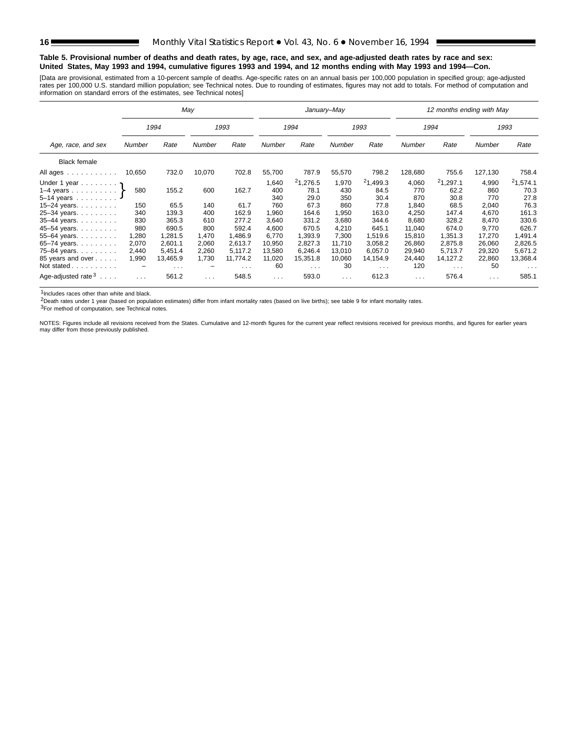#### **Table 5. Provisional number of deaths and death rates, by age, race, and sex, and age-adjusted death rates by race and sex: United States, May 1993 and 1994, cumulative figures 1993 and 1994, and 12 months ending with May 1993 and 1994—Con.**

[Data are provisional, estimated from a 10-percent sample of deaths. Age-specific rates on an annual basis per 100,000 population in specified group; age-adjusted<br>rates per 100,000 U.S. standard million population; see Tec

|                                |          |                      | May      |                      |               |                      | January-May   |                      |            | 12 months ending with May |          |                      |
|--------------------------------|----------|----------------------|----------|----------------------|---------------|----------------------|---------------|----------------------|------------|---------------------------|----------|----------------------|
|                                |          | 1994                 |          | 1993                 |               | 1994                 |               | 1993                 |            | 1994                      |          | 1993                 |
| Age, race, and sex             | Number   | Rate                 | Number   | Rate                 | <b>Number</b> | Rate                 | <b>Number</b> | Rate                 | Number     | Rate                      | Number   | Rate                 |
| <b>Black female</b>            |          |                      |          |                      |               |                      |               |                      |            |                           |          |                      |
| All ages                       | 10,650   | 732.0                | 10,070   | 702.8                | 55,700        | 787.9                | 55,570        | 798.2                | 128,680    | 755.6                     | 127,130  | 758.4                |
| Under 1 year                   |          |                      |          |                      | 1,640         | 21,276.5             | 1,970         | 21,499.3             | 4,060      | 21,297.1                  | 4,990    | 21,574.1             |
| 1-4 years $\uparrow$           | 580      | 155.2                | 600      | 162.7                | 400           | 78.1                 | 430           | 84.5                 | 770        | 62.2                      | 860      | 70.3                 |
| $5 - 14$ years                 |          |                      |          |                      | 340           | 29.0                 | 350           | 30.4                 | 870        | 30.8                      | 770      | 27.8                 |
| $15 - 24$ years.               | 150      | 65.5                 | 140      | 61.7                 | 760           | 67.3                 | 860           | 77.8                 | 1,840      | 68.5                      | 2,040    | 76.3                 |
| 25-34 years.                   | 340      | 139.3                | 400      | 162.9                | 1,960         | 164.6                | 1,950         | 163.0                | 4.250      | 147.4                     | 4,670    | 161.3                |
| 35-44 years.                   | 830      | 365.3                | 610      | 277.2                | 3,640         | 331.2                | 3,680         | 344.6                | 8.680      | 328.2                     | 8,470    | 330.6                |
| 45-54 years.                   | 980      | 690.5                | 800      | 592.4                | 4,600         | 670.5                | 4,210         | 645.1                | 11,040     | 674.0                     | 9,770    | 626.7                |
| 55-64 years.                   | 1,280    | 1,281.5              | 1,470    | 1,486.9              | 6,770         | 1,393.9              | 7,300         | 1,519.6              | 15,810     | 1,351.3                   | 17,270   | 1,491.4              |
| 65-74 years.                   | 2,070    | 2,601.1              | 2,060    | 2,613.7              | 10,950        | 2,827.3              | 11,710        | 3,058.2              | 26,860     | 2,875.8                   | 26,060   | 2,826.5              |
| 75-84 years                    | 2,440    | 5.451.4              | 2,260    | 5.117.2              | 13,580        | 6.246.4              | 13,010        | 6.057.0              | 29.940     | 5.713.7                   | 29,320   | 5,671.2              |
| 85 years and over              | 1,990    | 13,465.9             | 1,730    | 11.774.2             | 11,020        | 15,351.8             | 10,060        | 14,154.9             | 24,440     | 14,127.2                  | 22,860   | 13,368.4             |
| Not stated                     |          | $\sim$ $\sim$ $\sim$ |          | $\sim$ $\sim$ $\sim$ | 60            | $\sim$ $\sim$ $\sim$ | 30            | $\sim$ $\sim$ $\sim$ | 120        | $\sim$ $\sim$ $\sim$      | 50       | $\sim$ $\sim$ $\sim$ |
| Age-adjusted rate $3 \ldots$ . | $\cdots$ | 561.2                | $\cdots$ | 548.5                | $\cdots$      | 593.0                | $\cdots$      | 612.3                | $\sim 100$ | 576.4                     | $\cdots$ | 585.1                |

1Includes races other than white and black.

2Death rates under 1 year (based on population estimates) differ from infant mortality rates (based on live births); see table 9 for infant mortality rates.

3For method of computation, see Technical notes.

NOTES: Figures include all revisions received from the States. Cumulative and 12-month figures for the current year reflect revisions received for previous months, and figures for earlier years may differ from those previously published.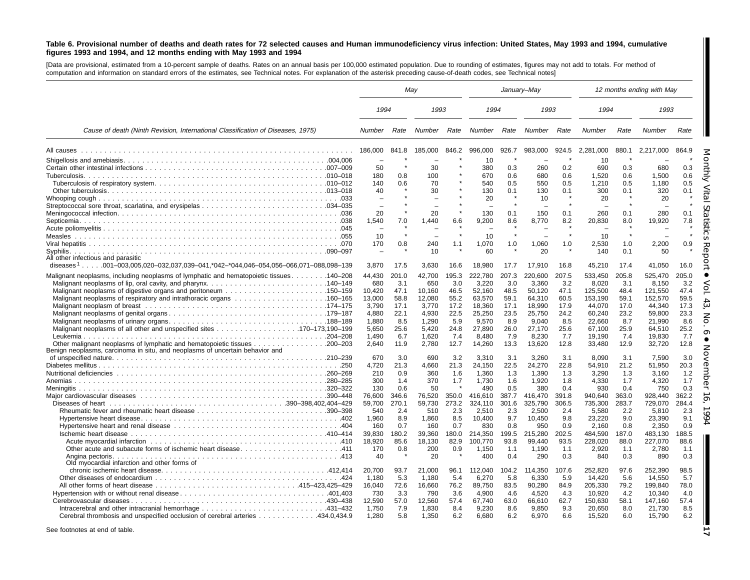#### Table 6. Provisional number of deaths and death rates for 72 selected causes and Human immunodeficiency virus infection: United States, May 1993 and 1994, cumulative figures 1993 and 1994, and 12 months ending with May 1993 and 1994

[Data are provisional, estimated from <sup>a</sup> 10-percent sample of deaths. Rates on an annual basis per 100,000 estimated population. Due to rounding of estimates, figures may not add to totals. For method of computation and information on standard errors of the estimates, see Technical notes. For explanation of the asterisk preceding cause-of-death codes, see Technical notes]

|                                                                                                 | May            |             |                |             |                 |             | January-May     |             |                  |             | 12 months ending with May |             |
|-------------------------------------------------------------------------------------------------|----------------|-------------|----------------|-------------|-----------------|-------------|-----------------|-------------|------------------|-------------|---------------------------|-------------|
|                                                                                                 | 1994           |             | 1993           |             | 1994            |             | 1993            |             | 1994             |             | 1993                      |             |
| Cause of death (Ninth Revision, International Classification of Diseases, 1975)                 | Number         | Rate        | Number         | Rate        | Number          | Rate        | Number          | Rate        | Number           | Rate        | Number                    | Rate        |
|                                                                                                 | 186,000        | 841.8       | 185.000        | 846.2       | 996,000         | 926.7       | 983,000         | 924.5       | 2,281,000        | 880.1       | 2,217,000                 | 864.9       |
|                                                                                                 |                |             |                |             | 10              |             |                 |             | 10               |             |                           |             |
|                                                                                                 | 50             |             | 30             |             | 380             | 0.3         | 260             | 0.2         | 690              | 0.3         | 680                       | 0.3         |
|                                                                                                 | 180            | 0.8         | 100            |             | 670             | 0.6         | 680             | 0.6         | 1.520            | 0.6         | 1.500                     | 0.6         |
|                                                                                                 | 140            | 0.6         | 70             |             | 540             | 0.5         | 550             | 0.5         | 1,210            | 0.5         | 1.180                     | 0.5         |
|                                                                                                 | 40             |             | 30             |             | 130             | 0.1         | 130             | 0.1         | 300              | 0.1         | 320                       | 0.1         |
|                                                                                                 |                |             |                |             | 20              |             | 10              |             | 20               |             | 20                        |             |
|                                                                                                 |                | $\star$     |                |             |                 |             |                 |             |                  |             |                           |             |
|                                                                                                 | 20             | 7.0         | 20<br>1,440    | 6.6         | 130<br>9,200    | 0.1<br>8.6  | 150<br>8.770    | 0.1<br>8.2  | 260<br>20,830    | 0.1<br>8.0  | 280<br>19,920             | 0.1<br>7.8  |
|                                                                                                 | 1,540          |             |                |             |                 |             |                 |             |                  |             |                           |             |
|                                                                                                 | 10             |             |                |             | 10              |             |                 |             | 10               |             |                           |             |
|                                                                                                 | 170            | 0.8         | 240            | 1.1         | 1,070           | 1.0         | 1,060           | 1.0         | 2,530            | 1.0         | 2,200                     | 0.9         |
|                                                                                                 |                |             | 10             |             | 60              |             | 20              |             | 140              | 0.1         | 50                        |             |
| All other infectious and parasitic                                                              |                |             |                |             |                 |             |                 |             |                  |             |                           |             |
| diseases <sup>1</sup> 001-003.005.020-032.037.039-041.*042-*044.046-054.056-066.071-088.098-139 | 3.870          | 17.5        | 3.630          | 16.6        | 18.980          | 17.7        | 17.910          | 16.8        | 45.210           | 17.4        | 41.050                    | 16.0        |
| Malignant neoplasms, including neoplasms of lymphatic and hematopoietic tissues 140–208         | 44,430         | 201.0       | 42,700         | 195.3       | 222,780         | 207.3       | 220,600         | 207.5       | 533,450          | 205.8       | 525,470                   | 205.0       |
|                                                                                                 | 680            | 3.1         | 650            | 3.0         | 3,220           | 3.0         | 3.360           | 3.2         | 8.020            | 3.1         | 8.150                     | 3.2         |
| Malignant neoplasms of digestive organs and peritoneum 150–159                                  | 10,420         | 47.1        | 10,160         | 46.5        | 52,160          | 48.5        | 50,120          | 47.1        | 125,500          | 48.4        | 121,550                   | 47.4        |
|                                                                                                 | 13,000         | 58.8        | 12,080         | 55.2        | 63,570          | 59.1        | 64,310          | 60.5        | 153,190          | 59.1        | 152,570                   | 59.5        |
|                                                                                                 | 3,790          | 17.1        | 3,770          | 17.2        | 18,360          | 17.1        | 18,990          | 17.9        | 44,070           | 17.0        | 44,340                    | 17.3        |
|                                                                                                 | 4.880          | 22.1        | 4,930          | 22.5        | 25,250          | 23.5        | 25,750          | 24.2        | 60,240           | 23.2        | 59.800                    | 23.3        |
|                                                                                                 | 1.880          | 8.5         | 1.290          | 5.9         | 9,570           | 8.9         | 9,040           | 8.5         | 22,660           | 8.7         | 21,990                    | 8.6         |
|                                                                                                 | 5,650          | 25.6        | 5,420          | 24.8        | 27,890          | 26.0        | 27,170          | 25.6        | 67,100           | 25.9        | 64,510                    | 25.2        |
|                                                                                                 | 1.490<br>2.640 | 6.7<br>11.9 | 1.620<br>2.780 | 7.4<br>12.7 | 8,480<br>14,260 | 7.9<br>13.3 | 8,230<br>13,620 | 7.7<br>12.8 | 19,190<br>33,480 | 7.4<br>12.9 | 19,830<br>32,720          | 7.7<br>12.8 |
| Benign neoplasms, carcinoma in situ, and neoplasms of uncertain behavior and                    |                |             |                |             |                 |             |                 |             |                  |             |                           |             |
|                                                                                                 | 670            | 3.0         | 690            | 3.2         | 3,310           | 3.1         | 3.260           | 3.1         | 8.090            | 3.1         | 7,590                     | 3.0         |
|                                                                                                 | 4,720          | 21.3        | 4,660          | 21.3        | 24,150          | 22.5        | 24,270          | 22.8        | 54,910           | 21.2        | 51,950                    | 20.3        |
|                                                                                                 | 210            | 0.9         | 360            | 1.6         | 1,360           | 1.3         | 1,390           | 1.3         | 3,290            | 1.3         | 3.160                     | 1.2         |
|                                                                                                 | 300            | 1.4         | 370            | 1.7         | 1,730           | 1.6         | 1.920           | 1.8         | 4,330            | 1.7         | 4,320                     | 1.7         |
|                                                                                                 | 130            | 0.6         | 50             |             | 490             | 0.5         | 380             | 0.4         | 930              | 0.4         | 750                       | 0.3         |
|                                                                                                 | 76,600         | 346.6       | 76,520         | 350.0       | 416,610         | 387.7       | 416,470         | 391.8       | 940,640          | 363.0       | 928,440                   | 362.2       |
|                                                                                                 | 59,700         | 270.1       | 59,730         | 273.2       | 324,110         | 301.6       | 325,790         | 306.5       | 735,300          | 283.7       | 729,070                   | 284.4       |
|                                                                                                 | 540<br>1,960   | 2.4<br>8.9  | 510<br>1,860   | 2.3<br>8.5  | 2.510<br>10,400 | 2.3<br>9.7  | 2.500<br>10,450 | 2.4<br>9.8  | 5,580<br>23,220  | 2.2<br>9.0  | 5,810<br>23,390           | 2.3<br>9.1  |
|                                                                                                 | 160            | 0.7         | 160            | 0.7         | 830             | 0.8         | 950             | 0.9         | 2,160            | 0.8         | 2.350                     | 0.9         |
|                                                                                                 | 39,830         | 180.2       | 39,360         | 180.0       | 214,350         | 199.5       | 215,280         | 202.5       | 484,590          | 187.0       | 483,130                   | 188.5       |
|                                                                                                 | 18.920         | 85.6        | 18,130         | 82.9        | 100.770         | 93.8        | 99.440          | 93.5        | 228,020          | 88.0        | 227,070                   | 88.6        |
| Other acute and subacute forms of ischemic heart disease411                                     | 170            | 0.8         | 200            | 0.9         | 1.150           | 1.1         | 1,190           | 1.1         | 2,920            | 1.1         | 2,780                     | 1.1         |
| Angina pectoris.                                                                                | 40             |             | 20             |             | 400             | 0.4         | 290             | 0.3         | 840              | 0.3         | 890                       | 0.3         |
| Old myocardial infarction and other forms of                                                    |                |             |                |             |                 |             |                 |             |                  |             |                           |             |
|                                                                                                 | 20.700         | 93.7        | 21,000         | 96.1        | 112,040         | 104.2       | 114,350         | 107.6       | 252,820          | 97.6        | 252,390                   | 98.5        |
|                                                                                                 | 1.180          | 5.3         | 1.180          | 5.4         | 6.270           | 5.8         | 6.330           | 5.9         | 14.420           | 5.6         | 14.550                    | 5.7         |
|                                                                                                 | 16,040         | 72.6        | 16,660         | 76.2        | 89,750          | 83.5        | 90,280          | 84.9        | 205,330          | 79.2        | 199,840                   | 78.0        |
|                                                                                                 | 730            | 3.3         | 790            | 3.6         | 4,900           | 4.6         | 4,520           | 4.3         | 10,920           | 4.2         | 10,340                    | 4.0         |
|                                                                                                 | 12.590         | 57.0        | 12.560         | 57.4        | 67.740          | 63.0        | 66.610          | 62.7        | 150.630          | 58.1        | 147.160                   | 57.4        |
|                                                                                                 | 1.750          | 7.9         | 1.830          | 8.4         | 9.230           | 8.6         | 9.850           | 9.3         | 20,650           | 8.0         | 21,730                    | 8.5         |
| Cerebral thrombosis and unspecified occlusion of cerebral arteries 434.0,434.9                  | 1.280          | 5.8         | 1,350          | 6.2         | 6,680           | 6.2         | 6,970           | 6.6         | 15,520           | 6.0         | 15,790                    | 6.2         |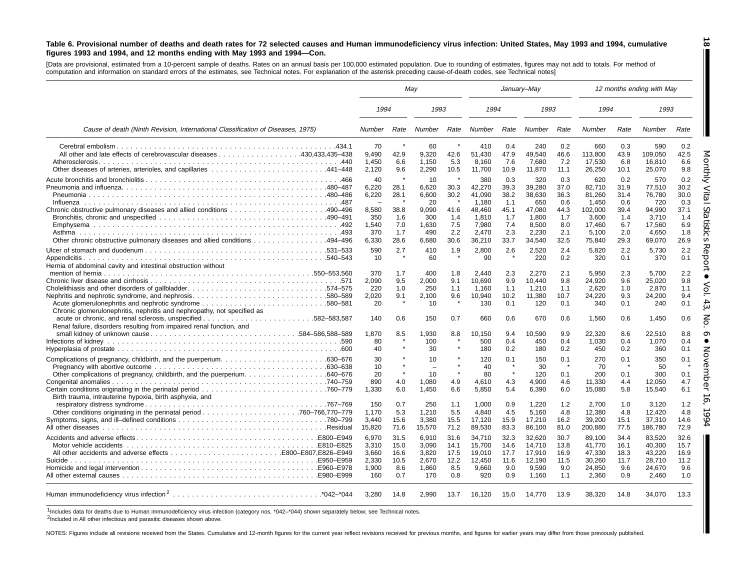#### Table 6. Provisional number of deaths and death rates for 72 selected causes and Human immunodeficiency virus infection: United States, May 1993 and 1994, cumulative figures 1993 and 1994, and 12 months ending with May 1993 and 1994-Con.

[Data are provisional, estimated from a 10-percent sample of deaths. Rates on an annual basis per 100,000 estimated population. Due to rounding of estimates, figures may not add to totals. For method of computation and information on standard errors of the estimates, see Technical notes. For explanation of the asterisk preceding cause-of-death codes, see Technical notes]

|                                                                                 |                | May          |                |                |                 |             | January-May     |             |                  |             | 12 months ending with May |             |
|---------------------------------------------------------------------------------|----------------|--------------|----------------|----------------|-----------------|-------------|-----------------|-------------|------------------|-------------|---------------------------|-------------|
|                                                                                 | 1994           |              | 1993           |                | 1994            |             | 1993            |             | 1994             |             | 1993                      |             |
| Cause of death (Ninth Revision, International Classification of Diseases, 1975) | Number         | Rate         | Number         | Rate           | Number          | Rate        | Number          | Rate        | Number           | Rate        | Number                    | Rate        |
|                                                                                 | 70             |              | 60             |                | 410             | 0.4         | 240             | 0.2         | 660              | 0.3         | 590                       | 0.2         |
|                                                                                 | 9,490          | 42.9         | 9,320          | 42.6           | 51,430          | 47.9        | 49,540          | 46.6        | 113,800          | 43.9        | 109,050                   | 42.5        |
| Other diseases of arteries, arterioles, and capillaries 441–448                 | 1.450<br>2.120 | 6.6<br>9.6   | 1.150<br>2.290 | 5.3<br>10.5    | 8.160<br>11.700 | 7.6<br>10.9 | 7,680<br>11,870 | 7.2<br>11.1 | 17.530<br>26,250 | 6.8<br>10.1 | 16.810<br>25.070          | 6.6<br>9.8  |
|                                                                                 | 40             |              |                |                |                 |             |                 |             |                  |             |                           |             |
|                                                                                 | 6,220          | 28.1         | 10<br>6,620    | 30.3           | 380<br>42,270   | 0.3<br>39.3 | 320<br>39,280   | 0.3<br>37.0 | 620<br>82,710    | 0.2<br>31.9 | 570<br>77,510             | 0.2<br>30.2 |
|                                                                                 | 6,220          | 28.1         | 6.600          | 30.2           | 41.090          | 38.2        | 38.630          | 36.3        | 81.260           | 31.4        | 76.780                    | 30.0        |
|                                                                                 | $\sim$         | $\star$      | 20             | $\star$        | 1.180           | 1.1         | 650             | 0.6         | 1.450            | 0.6         | 720                       | 0.3         |
|                                                                                 | 8.580          | 38.8         | 9.090          | 41.6           | 48.460          | 45.1        | 47.080          | 44.3        | 102,000          | 39.4        | 94.990                    | 37.1        |
|                                                                                 | 350            | 1.6          | 300            | 1.4            | 1.810           | 1.7         | 1,800           | 1.7         | 3.600            | 1.4         | 3,710                     | 1.4         |
|                                                                                 | 1,540          | 7.0          | 1,630          | 7.5            | 7,980           | 7.4         | 8,500           | 8.0         | 17,460           | 6.7         | 17,560                    | 6.9         |
|                                                                                 | 370            | 1.7          | 490            | 2.2            | 2.470           | 2.3         | 2.230           | 2.1         | 5.100            | 2.0         | 4.650                     | 1.8         |
| Other chronic obstructive pulmonary diseases and allied conditions 494–496      | 6,330          | 28.6         | 6,680          | 30.6           | 36,210          | 33.7        | 34,540          | 32.5        | 75,840           | 29.3        | 69,070                    | 26.9        |
|                                                                                 | 590            | 2.7          | 410            | 1.9            | 2,800           | 2.6         | 2,520           | 2.4         | 5,820            | 2.2         | 5,730                     | 2.2         |
|                                                                                 | 10             |              | 60             |                | 90              |             | 220             | 0.2         | 320              | 0.1         | 370                       | 0.1         |
| Hernia of abdominal cavity and intestinal obstruction without                   |                |              |                |                |                 |             |                 |             |                  |             |                           |             |
|                                                                                 | 370            | 1.7          | 400            | 1.8            | 2.440           | 2.3         | 2.270           | 2.1         | 5.950            | 2.3         | 5.700                     | 2.2         |
|                                                                                 | 2,090          | 9.5          | 2.000          | 9.1            | 10,690          | 9.9         | 10,440          | 9.8         | 24,920           | 9.6         | 25,020                    | 9.8         |
|                                                                                 | 220            | 1.0          | 250            | 1.1            | 1.160           | 1.1         | 1,210           | 1.1         | 2,620            | 1.0         | 2,870                     | 1.1         |
| Nephritis and nephrotic syndrome, and nephrosis580–589                          | 2,020          | 9.1          | 2.100          | 9.6<br>$\star$ | 10.940          | 10.2        | 11,380          | 10.7        | 24,220           | 9.3         | 24,200                    | 9.4         |
|                                                                                 | 20             |              | 10             |                | 130             | 0.1         | 120             | 0.1         | 340              | 0.1         | 240                       | 0.1         |
| Chronic glomerulonephritis, nephritis and nephropathy, not specified as         | 140            | 0.6          | 150            | 0.7            | 660             | 0.6         | 670             | 0.6         | 1.560            | 0.6         | 1.450                     | 0.6         |
| Renal failure, disorders resulting from impaired renal function, and            |                |              |                |                |                 |             |                 |             |                  |             |                           |             |
|                                                                                 | 1.870          | 8.5          | 1.930          | 8.8            | 10,150          | 9.4         | 10,590          | 9.9         | 22,320           | 8.6         | 22,510                    | 8.8         |
|                                                                                 | 80             |              | 100            |                | 500             | 0.4         | 450             | 0.4         | 1,030            | 0.4         | 1,070                     | 0.4         |
|                                                                                 | 40             |              | 30             | $\star$        | 180             | 0.2         | 180             | 0.2         | 450              | 0.2         | 360                       | 0.1         |
|                                                                                 | 30             |              | 10             |                | 120             | 0.1         | 150             | 0.1         | 270              | 0.1         | 350                       | 0.1         |
|                                                                                 | 10             | $\star$      |                | $\star$        | 40              | $\star$     | 30              | $\star$     | 70               | -8          | 50                        |             |
|                                                                                 | 20             | $\pmb{\ast}$ | 10             | $\star$        | 80              | $\star$     | 120             | 0.1         | 200              | 0.1         | 300                       | 0.1         |
|                                                                                 | 890            | 4.0          | 1,080          | 4.9            | 4,610           | 4.3         | 4,900           | 4.6         | 11,330           | 4.4         | 12,050                    | 4.7         |
|                                                                                 | 1.330          | 6.0          | 1.450          | 6.6            | 5.850           | 5.4         | 6,390           | 6.0         | 15,080           | 5.8         | 15,540                    | 6.1         |
| Birth trauma, intrauterine hypoxia, birth asphyxia, and                         |                |              |                |                |                 |             |                 |             |                  |             |                           |             |
|                                                                                 | 150            | 0.7          | 250            | 1.1            | 1,000           | 0.9         | 1,220           | 1.2         | 2.700            | 1.0         | 3.120                     | 1.2         |
|                                                                                 | 1,170          | 5.3          | 1,210          | 5.5            | 4,840           | 4.5         | 5,160           | 4.8         | 12,380           | 4.8         | 12,420                    | 4.8         |
|                                                                                 | 3.440          | 15.6         | 3,380          | 15.5           | 17,120          | 15.9        | 17,210          | 16.2        | 39,200           | 15.1        | 37,310                    | 14.6        |
|                                                                                 | 15,820         | 71.6         | 15,570         | 71.2           | 89,530          | 83.3        | 86,100          | 81.0        | 200,880          | 77.5        | 186,780                   | 72.9        |
|                                                                                 | 6,970          | 31.5         | 6,910          | 31.6           | 34,710          | 32.3        | 32,620          | 30.7        | 89.100           | 34.4        | 83,520                    | 32.6        |
|                                                                                 | 3.310          | 15.0         | 3.090          | 14.1           | 15.700          | 14.6        | 14.710          | 13.8        | 41.770           | 16.1        | 40.300                    | 15.7        |
|                                                                                 | 3,660          | 16.6         | 3,820          | 17.5           | 19,010          | 17.7        | 17,910          | 16.9        | 47,330           | 18.3        | 43,220                    | 16.9        |
|                                                                                 | 2,330          | 10.5         | 2,670          | 12.2           | 12,450          | 11.6        | 12,190          | 11.5        | 30,260           | 11.7        | 28,710                    | 11.2        |
|                                                                                 | 1.900          | 8.6          | 1.860          | 8.5            | 9.660           | 9.0         | 9.590           | 9.0         | 24.850           | 9.6         | 24.670                    | 9.6         |
|                                                                                 | 160            | 0.7          | 170            | 0.8            | 920             | 0.9         | 1,160           | 1.1         | 2,360            | 0.9         | 2,460                     | 1.0         |
|                                                                                 | 3,280          | 14.8         | 2.990          | 13.7           | 16,120          | 15.0        | 14.770          | 13.9        | 38,320           | 14.8        | 34,070                    | 13.3        |

1Includes data for deaths due to Human immunodeficiency virus infection (category nos. \*042–\*044) shown separately below; see Technical notes.

2Included in All other infectious and parasitic diseases shown above.

NOTES: Figures include all revisions received from the States. Cumulative and 12-month figures for the current year reflect revisions received for previous months, and figures for earlier years may differ from those previo

**18** H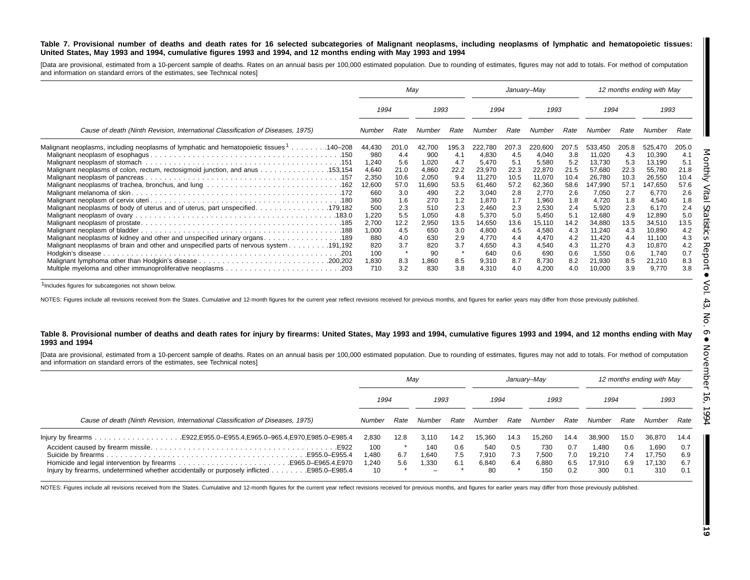#### Table 7. Provisional number of deaths and death rates for 16 selected subcategories of Malignant neoplasms, including neoplasms of lymphatic and hematopoietic tissues: United States, May 1993 and 1994, cumulative figures 1993 and 1994, and 12 months ending with May 1993 and 1994

[Data are provisional, estimated from a 10-percent sample of deaths. Rates on an annual basis per 100,000 estimated population. Due to rounding of estimates, figures may not add to totals. For method of computation and information on standard errors of the estimates, see Technical notes]

|                                                                                          | May          |            |              | January–May |                |            |                | 12 months ending with May |                  |            |                 |            |
|------------------------------------------------------------------------------------------|--------------|------------|--------------|-------------|----------------|------------|----------------|---------------------------|------------------|------------|-----------------|------------|
|                                                                                          | 1993<br>1994 |            | 1994         |             | 1993           |            |                | 1994                      |                  | 1993       |                 |            |
| Cause of death (Ninth Revision, International Classification of Diseases, 1975)          | Number       | Rate       | Number       | Rate        | Number         | Rate       | Number         | Rate                      | Number           | Rate       | Number          | Rate       |
| Malignant neoplasms, including neoplasms of lymphatic and hematopoietic tissues 1140–208 | 44,430       | 201.0      | 42,700       | 195.3       | 222,780        | 207.3      | 220,600        | 207.5                     | 533,450          | 205.8      | 525,470         | 205.0      |
|                                                                                          | 980          | 4.4        | 900          | 4.1         | 4.830          | -4.5       | 4,040          | 3.8                       | 11,020           | 4.3        | 10,390          | 4.1        |
|                                                                                          | 1,240        | 5.6        | 1,020        | 4.7         | 5,470          | 5.1        | 5,580          | 5.2                       | 13,730           | 5.3        | 13,190          | 5.1        |
| Malignant neoplasms of colon, rectum, rectosigmoid junction, and anus 153,154            | 4,640        | 21.0       | 4,860        | 22.2        | 23,970         | 22.3       | 22,870         | 21.5                      | 57,680           | 22.3       | 55,780          | 21.8       |
|                                                                                          | 2,350        | 10.6       | 2,050        | 9.4         | 11,270         | 10.5       | 11,070         | 10.4                      | 26,780           | 10.3       | 26,550          | 10.4       |
|                                                                                          | 12,600       | 57.0       | 11,690       | 53.5        | 61,460         | 57.2       | 62,360         | 58.6                      | 147,990          | 57.1       | 147,650         | 57.6       |
|                                                                                          | 660          | 3.0        | 490          | 2.2         | 3,040          | 2.8        | 2,770          | 2.6                       | 7,050            | 2.7        | 6,770           | 2.6        |
|                                                                                          | 360          | 1.6        | 270          | 1.2         | 1,870          | 1.7        | 1,960          | 1.8                       | 4,720            | 1.8        | 4,540           | 1.8        |
|                                                                                          | 500          | 2.3        | 510          | 2.3         | 2,460          | 2.3        | 2,530          | 2.4                       | 5,920            | 2.3        | 6,170           | 2.4        |
|                                                                                          | 1,220        | 5.5        | 1,050        | 4.8         | 5,370          | 5.0        | 5,450          | 5.1                       | 12,680           | 4.9        | 12,890          | 5.0        |
|                                                                                          | 2,700        | 12.2       | 2,950        | 13.5        | 14,650         | 13.6       | 15,110         | 14.2                      | 34,880           | 13.5       | 34,510          | 13.5       |
|                                                                                          | 1,000        | 4.5        | 650          | 3.0         | 4,800          | 4.5        | 4,580          | 4.3                       | 11,240           | 4.3        | 10,890          | 4.2        |
| Malignant neoplasms of kidney and other and unspecified urinary organs. 189              | 880          | 4.0        | 630          | 2.9<br>3.7  | 4.770          | 4.4        | 4,470          | 4.2                       | 11,420           | 4.4        | 11,100          | 4.3        |
|                                                                                          | 820          | 3.7<br>÷   | 820          |             | 4,650          | 4.3        | 4,540          | 4.3                       | 11,270           | 4.3        | 10,870          | 4.2        |
|                                                                                          | 100          |            | 90           |             | 640            | 0.6        | 690            | 0.6                       | 1,550            | 0.6        | 1,740           | 0.7        |
|                                                                                          | 1,830<br>710 | 8.3<br>3.2 | 0.860<br>830 | 8.5<br>3.8  | 9,310<br>4,310 | 8.7<br>4.0 | 8,730<br>4,200 | 8.2<br>4.0                | 21,930<br>10,000 | 8.5<br>3.9 | 21,210<br>9,770 | 8.3<br>3.8 |

1Includes figures for subcategories not shown below.

NOTES: Figures include all revisions received from the States. Cumulative and 12-month figures for the current year reflect revisions received for previous months, and figures for earlier years may differ from those previo

#### Table 8. Provisional number of deaths and death rates for injury by firearms: United States, May 1993 and 1994, cumulative figures 1993 and 1994, and 12 months ending with May **1993 and 1994**

[Data are provisional, estimated from a 10-percent sample of deaths. Rates on an annual basis per 100,000 estimated population. Due to rounding of estimates, figures may not add to totals. For method of computation and information on standard errors of the estimates, see Technical notes]

|                                                                                                                           | May                         |            |                       | Januarv-Mav       |                             |                   |                              | 12 months ending with May |                                  |                          |                                  |                          |
|---------------------------------------------------------------------------------------------------------------------------|-----------------------------|------------|-----------------------|-------------------|-----------------------------|-------------------|------------------------------|---------------------------|----------------------------------|--------------------------|----------------------------------|--------------------------|
|                                                                                                                           | 1994                        |            | 1993                  |                   | 1994                        |                   | 1993                         |                           | 1994                             |                          | 1993                             |                          |
| Cause of death (Ninth Revision, International Classification of Diseases, 1975)                                           | Number                      | Rate       | Number                | Rate              | Number                      | Rate              | Number                       | Rate                      | Number                           | Rate                     | Number                           | Rate                     |
|                                                                                                                           | 2.830                       | 12.8       | 3.110                 | 14.2              | 15.360                      | 14.3              | 15.260                       | 14.4                      | 38.900                           | 15.0                     | 36,870                           | 14.4                     |
| E922. .<br>E955.0-E955.4<br>lnjury by firearms, undetermined whether accidentally or purposely inflicted<br>E985.0-E985.4 | 100<br>1.480<br>1,240<br>10 | 6.7<br>5.6 | 140<br>1.640<br>1.330 | 0.6<br>7.5<br>6.1 | 540<br>7.910<br>6.840<br>80 | 0.5<br>7.3<br>6.4 | 730<br>7,500<br>6,880<br>150 | 0.7<br>7.0<br>6.5<br>0.2  | 1.480<br>19,210<br>17.910<br>300 | 0.6<br>7.4<br>6.9<br>0.1 | 1.690<br>17.750<br>17.130<br>310 | 0.7<br>6.9<br>6.7<br>0.1 |

NOTES: Figures include all revisions received from the States. Cumulative and 12-month figures for the current year reflect revisions received for previous months, and figures for earlier years may differ from those previo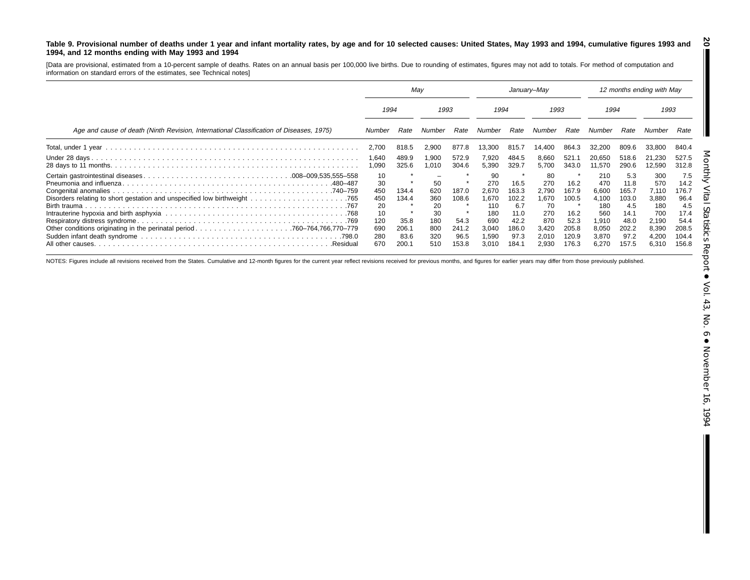#### Table 9. Provisional number of deaths under 1 year and infant mortality rates, by age and for 10 selected causes: United States, May 1993 and 1994, cumulative figures 1993 and **1994, and 12 months ending with May 1993 and 1994 20**

[Data are provisional, estimated from <sup>a</sup> 10-percent sample of deaths. Rates on an annual basis per 100,000 live births. Due to rounding of estimates, figures may not add to totals. For method of computation and information on standard errors of the estimates, see Technical notes]

|                                                                                         | May                                                            |                                         |                                                   | January–May                             |                                                                    |                                                                |                                                                   | 12 months ending with May                                         |                                                                        |                                                                       |                                                                       |                                                                       |
|-----------------------------------------------------------------------------------------|----------------------------------------------------------------|-----------------------------------------|---------------------------------------------------|-----------------------------------------|--------------------------------------------------------------------|----------------------------------------------------------------|-------------------------------------------------------------------|-------------------------------------------------------------------|------------------------------------------------------------------------|-----------------------------------------------------------------------|-----------------------------------------------------------------------|-----------------------------------------------------------------------|
|                                                                                         |                                                                | 1993<br>1994                            |                                                   | 1994                                    |                                                                    | 1993                                                           |                                                                   | 1994                                                              |                                                                        | 1993                                                                  |                                                                       |                                                                       |
| Age and cause of death (Ninth Revision, International Classification of Diseases, 1975) | Number                                                         | Rate                                    | Number                                            | Rate                                    | Number                                                             | Rate                                                           | Number                                                            | Rate                                                              | Number                                                                 | Rate                                                                  | Number                                                                | Rate                                                                  |
|                                                                                         | 2,700                                                          | 818.5                                   | 2,900                                             | 877.8                                   | 13,300                                                             | 815.7                                                          | 14.400                                                            | 864.3                                                             | 32,200                                                                 | 809.6                                                                 | 33.800                                                                | 840.4                                                                 |
|                                                                                         | 1,640<br>1,090                                                 | 489.9<br>325.6                          | .900<br>,010                                      | 572.9<br>304.6                          | 7,920<br>5,390                                                     | 484.5<br>329.7                                                 | 8,660<br>5,700                                                    | 521.7<br>343.0                                                    | 20,650<br>11,570                                                       | 518.6<br>290.6                                                        | 21.230<br>12,590                                                      | 527.5<br>312.8                                                        |
|                                                                                         | 10<br>30<br>450<br>450<br>20<br>10<br>120<br>690<br>280<br>670 | 134.4<br>134.4<br>35.8<br>206.1<br>83.6 | 50<br>620<br>360<br>20<br>30<br>180<br>800<br>320 | 187.0<br>108.6<br>54.3<br>241.2<br>96.5 | 90<br>270<br>2.670<br>1,670<br>110<br>180<br>690<br>3,040<br>1,590 | 16.5<br>163.3<br>102.2<br>6.7<br>11.0<br>42.2<br>186.0<br>97.3 | 80<br>270<br>2.790<br>1,670<br>70<br>270<br>870<br>3,420<br>2,010 | 16.2<br>167.9<br>100.5<br>16.2<br>52.3<br>205.8<br>120.9<br>176.3 | 210<br>470<br>6.600<br>4,100<br>180<br>560<br>910. ا<br>8,050<br>3,870 | 5.3<br>11.8<br>165.7<br>103.0<br>4.5<br>14.1<br>48.0<br>202.2<br>97.2 | 300<br>570<br>7.110<br>3,880<br>180<br>700<br>2,190<br>8,390<br>4,200 | 7.5<br>14.2<br>176.7<br>96.4<br>4.5<br>17.4<br>54.4<br>208.5<br>104.4 |

NOTES: Figures include all revisions received from the States. Cumulative and 12-month figures for the current year reflect revisions received for previous months, and figures for earlier years may differ from those previo

I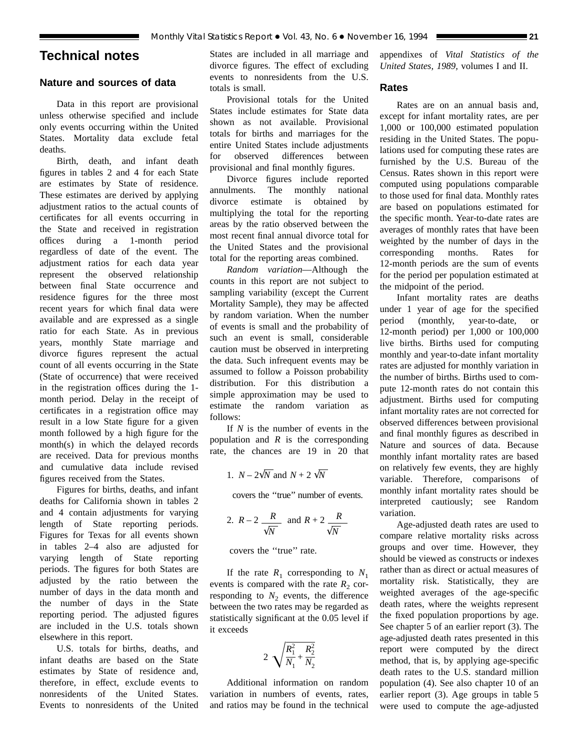# **Technical notes**

# **Nature and sources of data**

Data in this report are provisional unless otherwise specified and include only events occurring within the United States. Mortality data exclude fetal deaths.

Birth, death, and infant death figures in tables 2 and 4 for each State are estimates by State of residence. These estimates are derived by applying adjustment ratios to the actual counts of certificates for all events occurring in the State and received in registration offices during a 1-month period regardless of date of the event. The adjustment ratios for each data year represent the observed relationship between final State occurrence and residence figures for the three most recent years for which final data were available and are expressed as a single ratio for each State. As in previous years, monthly State marriage and divorce figures represent the actual count of all events occurring in the State (State of occurrence) that were received in the registration offices during the 1 month period. Delay in the receipt of certificates in a registration office may result in a low State figure for a given month followed by a high figure for the month(s) in which the delayed records are received. Data for previous months and cumulative data include revised figures received from the States.

Figures for births, deaths, and infant deaths for California shown in tables 2 and 4 contain adjustments for varying length of State reporting periods. Figures for Texas for all events shown in tables 2–4 also are adjusted for varying length of State reporting periods. The figures for both States are adjusted by the ratio between the number of days in the data month and the number of days in the State reporting period. The adjusted figures are included in the U.S. totals shown elsewhere in this report.

U.S. totals for births, deaths, and infant deaths are based on the State estimates by State of residence and, therefore, in effect, exclude events to nonresidents of the United States. Events to nonresidents of the United

States are included in all marriage and divorce figures. The effect of excluding events to nonresidents from the U.S. totals is small.

Provisional totals for the United States include estimates for State data shown as not available. Provisional totals for births and marriages for the entire United States include adjustments for observed differences between provisional and final monthly figures.

Divorce figures include reported annulments. The monthly national divorce estimate is obtained by multiplying the total for the reporting areas by the ratio observed between the most recent final annual divorce total for the United States and the provisional total for the reporting areas combined.

*Random variation*—Although the counts in this report are not subject to sampling variability (except the Current Mortality Sample), they may be affected by random variation. When the number of events is small and the probability of such an event is small, considerable caution must be observed in interpreting the data. Such infrequent events may be assumed to follow a Poisson probability distribution. For this distribution a simple approximation may be used to estimate the random variation as follows:

If *N* is the number of events in the population and *R* is the corresponding rate, the chances are 19 in 20 that

1. 
$$
N - 2\sqrt{N}
$$
 and  $N + 2\sqrt{N}$ 

covers the ''true'' number of events.

2. 
$$
R-2
$$
  $\frac{R}{\sqrt{N}}$  and  $R+2$   $\frac{R}{\sqrt{N}}$ 

covers the ''true'' rate.

If the rate  $R_1$  corresponding to  $N_1$ events is compared with the rate  $R_2$  corresponding to  $N_2$  events, the difference between the two rates may be regarded as statistically significant at the 0.05 level if it exceeds

$$
2\sqrt{\frac{R_1^2}{N_1} + \frac{R_2^2}{N_2}}
$$

Additional information on random variation in numbers of events, rates, and ratios may be found in the technical appendixes of *Vital Statistics of the United States, 1989,* volumes I and II.

# **Rates**

Rates are on an annual basis and, except for infant mortality rates, are per 1,000 or 100,000 estimated population residing in the United States. The populations used for computing these rates are furnished by the U.S. Bureau of the Census. Rates shown in this report were computed using populations comparable to those used for final data. Monthly rates are based on populations estimated for the specific month. Year-to-date rates are averages of monthly rates that have been weighted by the number of days in the corresponding months. Rates for 12-month periods are the sum of events for the period per population estimated at the midpoint of the period.

Infant mortality rates are deaths under 1 year of age for the specified period (monthly, year-to-date, or 12-month period) per 1,000 or 100,000 live births. Births used for computing monthly and year-to-date infant mortality rates are adjusted for monthly variation in the number of births. Births used to compute 12-month rates do not contain this adjustment. Births used for computing infant mortality rates are not corrected for observed differences between provisional and final monthly figures as described in Nature and sources of data. Because monthly infant mortality rates are based on relatively few events, they are highly variable. Therefore, comparisons of monthly infant mortality rates should be interpreted cautiously; see Random variation.

Age-adjusted death rates are used to compare relative mortality risks across groups and over time. However, they should be viewed as constructs or indexes rather than as direct or actual measures of mortality risk. Statistically, they are weighted averages of the age-specific death rates, where the weights represent the fixed population proportions by age. See chapter 5 of an earlier report (3). The age-adjusted death rates presented in this report were computed by the direct method, that is, by applying age-specific death rates to the U.S. standard million population (4). See also chapter 10 of an earlier report (3). Age groups in table 5 were used to compute the age-adjusted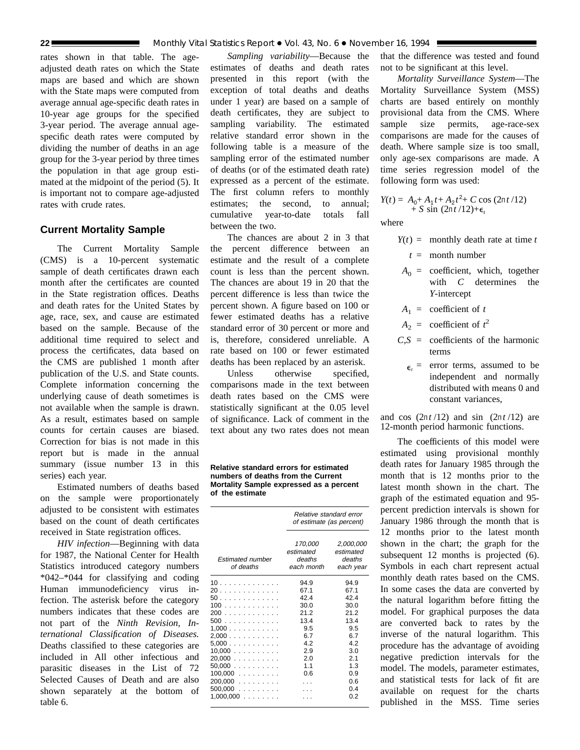rates shown in that table. The ageadjusted death rates on which the State maps are based and which are shown with the State maps were computed from average annual age-specific death rates in 10-year age groups for the specified 3-year period. The average annual agespecific death rates were computed by dividing the number of deaths in an age group for the 3-year period by three times the population in that age group estimated at the midpoint of the period (5). It is important not to compare age-adjusted rates with crude rates.

# **Current Mortality Sample**

The Current Mortality Sample (CMS) is a 10-percent systematic sample of death certificates drawn each month after the certificates are counted in the State registration offices. Deaths and death rates for the United States by age, race, sex, and cause are estimated based on the sample. Because of the additional time required to select and process the certificates, data based on the CMS are published 1 month after publication of the U.S. and State counts. Complete information concerning the underlying cause of death sometimes is not available when the sample is drawn. As a result, estimates based on sample counts for certain causes are biased. Correction for bias is not made in this report but is made in the annual summary (issue number 13 in this series) each year.

Estimated numbers of deaths based on the sample were proportionately adjusted to be consistent with estimates based on the count of death certificates received in State registration offices.

*HIV infection*—Beginning with data for 1987, the National Center for Health Statistics introduced category numbers \*042–\*044 for classifying and coding Human immunodeficiency virus infection. The asterisk before the category numbers indicates that these codes are not part of the *Ninth Revision, International Classification of Diseases.* Deaths classified to these categories are included in All other infectious and parasitic diseases in the List of 72 Selected Causes of Death and are also shown separately at the bottom of table 6.

*Sampling variability*—Because the estimates of deaths and death rates presented in this report (with the exception of total deaths and deaths under 1 year) are based on a sample of death certificates, they are subject to sampling variability. The estimated relative standard error shown in the following table is a measure of the sampling error of the estimated number of deaths (or of the estimated death rate) expressed as a percent of the estimate. The first column refers to monthly estimates; the second, to annual; cumulative year-to-date totals fall between the two.

The chances are about 2 in 3 that the percent difference between an estimate and the result of a complete count is less than the percent shown. The chances are about 19 in 20 that the percent difference is less than twice the percent shown. A figure based on 100 or fewer estimated deaths has a relative standard error of 30 percent or more and is, therefore, considered unreliable. A rate based on 100 or fewer estimated deaths has been replaced by an asterisk.

Unless otherwise specified. comparisons made in the text between death rates based on the CMS were statistically significant at the 0.05 level of significance. Lack of comment in the text about any two rates does not mean

**Relative standard errors for estimated numbers of deaths from the Current Mortality Sample expressed as a percent of the estimate**

|                               | Relative standard error<br>of estimate (as percent) |                                               |  |  |  |
|-------------------------------|-----------------------------------------------------|-----------------------------------------------|--|--|--|
| Estimated number<br>of deaths | 170,000<br>estimated<br>deaths<br>each month        | 2,000,000<br>estimated<br>deaths<br>each year |  |  |  |
| 10                            | 94.9                                                | 94.9                                          |  |  |  |
| 20                            | 67.1                                                | 67.1                                          |  |  |  |
| 50                            | 42.4                                                | 42.4                                          |  |  |  |
| 100                           | 30.0                                                | 30.0                                          |  |  |  |
| 200                           | 21.2                                                | 21.2                                          |  |  |  |
| 500                           | 13.4                                                | 13.4                                          |  |  |  |
| 1,000                         | 9.5                                                 | 9.5                                           |  |  |  |
| 2,000                         | 6.7                                                 | 6.7                                           |  |  |  |
| $5,000$                       | 4.2                                                 | 42                                            |  |  |  |
| 10,000                        | 2.9                                                 | 3.0                                           |  |  |  |
| $20,000$                      | 2.0                                                 | 2.1                                           |  |  |  |
| 50.000                        | 1.1                                                 | 1.3                                           |  |  |  |
| $100,000$                     | 0.6                                                 | 0.9                                           |  |  |  |
| 200.000                       |                                                     | 0.6                                           |  |  |  |
| $500,000$                     |                                                     | 0.4                                           |  |  |  |
| $1,000,000$                   |                                                     | 0.2                                           |  |  |  |

that the difference was tested and found not to be significant at this level.

*Mortality Surveillance System*—The Mortality Surveillance System (MSS) charts are based entirely on monthly provisional data from the CMS. Where sample size permits, age-race-sex comparisons are made for the causes of death. Where sample size is too small, only age-sex comparisons are made. A time series regression model of the following form was used:

$$
Y(t) = A_0 + A_1 t + A_2 t^2 + C \cos (2\pi t / 12) + S \sin (2\pi t / 12) + \epsilon_t
$$

where

- $Y(t) =$  monthly death rate at time *t* 
	- *t* = month number
- $A_0$  = coefficient, which, together with *C* determines the *Y*-intercept
- $A_1$  = coefficient of *t*
- $A_2$  = coefficient of  $t^2$
- $C.S =$  coefficients of the harmonic terms
	- $\epsilon$  = error terms, assumed to be independent and normally distributed with means 0 and constant variances,

and cos  $(2\pi t/12)$  and sin  $(2\pi t/12)$  are 12-month period harmonic functions.

The coefficients of this model were estimated using provisional monthly death rates for January 1985 through the month that is 12 months prior to the latest month shown in the chart. The graph of the estimated equation and 95 percent prediction intervals is shown for January 1986 through the month that is 12 months prior to the latest month shown in the chart; the graph for the subsequent 12 months is projected  $(6)$ . Symbols in each chart represent actual monthly death rates based on the CMS. In some cases the data are converted by the natural logarithm before fitting the model. For graphical purposes the data are converted back to rates by the inverse of the natural logarithm. This procedure has the advantage of avoiding negative prediction intervals for the model. The models, parameter estimates, and statistical tests for lack of fit are available on request for the charts published in the MSS. Time series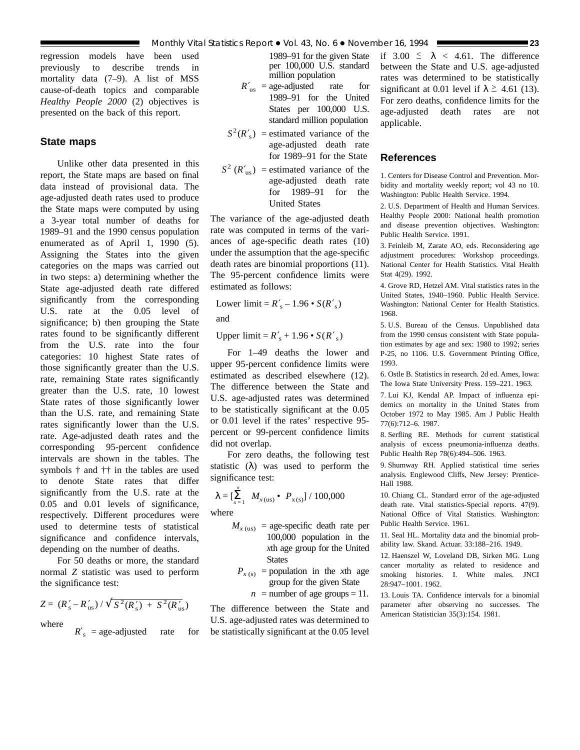regression models have been used previously to describe trends in mortality data (7–9). A list of MSS cause-of-death topics and comparable *Healthy People 2000* (2) objectives is presented on the back of this report.

# **State maps**

Unlike other data presented in this report, the State maps are based on final data instead of provisional data. The age-adjusted death rates used to produce the State maps were computed by using a 3-year total number of deaths for 1989–91 and the 1990 census population enumerated as of April 1, 1990 (5). Assigning the States into the given categories on the maps was carried out in two steps: a) determining whether the State age-adjusted death rate differed significantly from the corresponding U.S. rate at the 0.05 level of significance; b) then grouping the State rates found to be significantly different from the U.S. rate into the four categories: 10 highest State rates of those significantly greater than the U.S. rate, remaining State rates significantly greater than the U.S. rate, 10 lowest State rates of those significantly lower than the U.S. rate, and remaining State rates significantly lower than the U.S. rate. Age-adjusted death rates and the corresponding 95-percent confidence intervals are shown in the tables. The symbols † and †† in the tables are used to denote State rates that differ significantly from the U.S. rate at the 0.05 and 0.01 levels of significance, respectively. Different procedures were used to determine tests of statistical significance and confidence intervals, depending on the number of deaths.

For 50 deaths or more, the standard normal *Z* statistic was used to perform the significance test:

$$
Z = (R'_{\rm s} - R'_{\rm us}) / \sqrt{S^2 (R'_{\rm s}) + S^2 (R'_{\rm us})}
$$

where

 $R'$ <sub>s</sub> = age-adjusted rate for

1989–91 for the given State per 100,000 U.S. standard million population

- $R'_{\text{us}} = \text{age-adjusted}$  rate for 1989–91 for the United States per 100,000 U.S. standard million population
- $S^2(R'_s)$  = estimated variance of the age-adjusted death rate for 1989–91 for the State
- $S^2$  ( $R'_{\text{us}}$ ) = estimated variance of the age-adjusted death rate for 1989–91 for the United States

The variance of the age-adjusted death rate was computed in terms of the variances of age-specific death rates (10) under the assumption that the age-specific death rates are binomial proportions (11). The 95-percent confidence limits were estimated as follows:

Lower limit =  $R'_s - 1.96 \cdot S(R'_s)$ 

and

Upper  $\text{limit} = R'_{\text{s}} + 1.96 \cdot S(R'_{\text{s}})$ 

For 1–49 deaths the lower and upper 95-percent confidence limits were estimated as described elsewhere (12). The difference between the State and U.S. age-adjusted rates was determined to be statistically significant at the 0.05 or 0.01 level if the rates' respective 95 percent or 99-percent confidence limits did not overlap.

For zero deaths, the following test statistic  $(\lambda)$  was used to perform the significance test:

$$
\lambda = \left[\sum_{x=1}^{n} M_{x(\text{us})} \bullet P_{x(\text{s})}\right] / 100,000
$$

where

- $M_{x \text{ (us)}}$  = age-specific death rate per 100,000 population in the *x*th age group for the United **States** 
	- $P_{x(s)}$  = population in the *x*th age group for the given State

 $n =$  number of age groups = 11.

The difference between the State and U.S. age-adjusted rates was determined to be statistically significant at the 0.05 level if  $3.00 \le \lambda < 4.61$ . The difference between the State and U.S. age-adjusted rates was determined to be statistically significant at 0.01 level if  $\lambda \geq 4.61$  (13). For zero deaths, confidence limits for the age-adjusted death rates are not applicable.

## **References**

1. Centers for Disease Control and Prevention. Morbidity and mortality weekly report; vol 43 no 10. Washington: Public Health Service. 1994.

2. U.S. Department of Health and Human Services. Healthy People 2000: National health promotion and disease prevention objectives. Washington: Public Health Service. 1991.

3. Feinleib M, Zarate AO, eds. Reconsidering age adjustment procedures: Workshop proceedings. National Center for Health Statistics. Vital Health Stat 4(29). 1992.

4. Grove RD, Hetzel AM. Vital statistics rates in the United States, 1940–1960. Public Health Service. Washington: National Center for Health Statistics. 1968.

5. U.S. Bureau of the Census. Unpublished data from the 1990 census consistent with State population estimates by age and sex: 1980 to 1992; series P-25, no 1106. U.S. Government Printing Office, 1993.

6. Ostle B. Statistics in research. 2d ed. Ames, Iowa: The Iowa State University Press. 159–221. 1963.

7. Lui KJ, Kendal AP. Impact of influenza epidemics on mortality in the United States from October 1972 to May 1985. Am J Public Health 77(6):712–6. 1987.

8. Serfling RE. Methods for current statistical analysis of excess pneumonia-influenza deaths. Public Health Rep 78(6):494–506. 1963.

9. Shumway RH. Applied statistical time series analysis. Englewood Cliffs, New Jersey: Prentice-Hall 1988.

10. Chiang CL. Standard error of the age-adjusted death rate. Vital statistics-Special reports. 47(9). National Office of Vital Statistics. Washington: Public Health Service. 1961.

11. Seal HL. Mortality data and the binomial probability law. Skand. Actuar. 33:188–216. 1949.

12. Haenszel W, Loveland DB, Sirken MG. Lung cancer mortality as related to residence and smoking histories. I. White males. JNCI 28:947–1001. 1962.

13. Louis TA. Confidence intervals for a binomial parameter after observing no successes. The American Statistician 35(3):154. 1981.